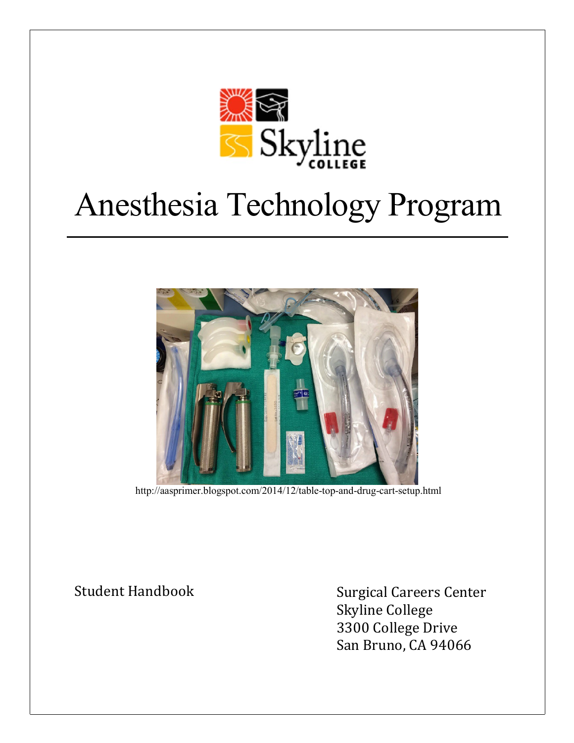

# Anesthesia Technology Program



<http://aasprimer.blogspot.com/2014/12/table-top-and-drug-cart-setup.html>

Student Handbook Surgical Careers Center Skyline College 3300 College Drive San Bruno, CA 94066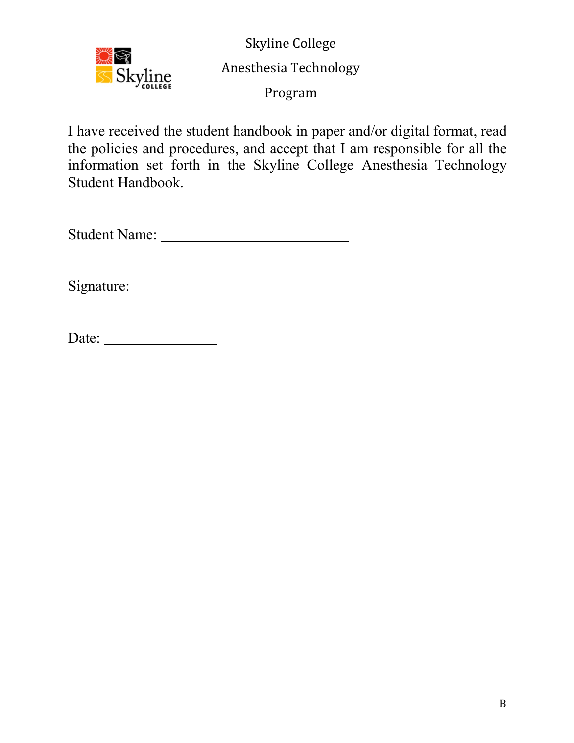

Skyline College Anesthesia Technology

Program

I have received the student handbook in paper and/or digital format, read the policies and procedures, and accept that I am responsible for all the information set forth in the Skyline College Anesthesia Technology Student Handbook.

Student Name:

Signature: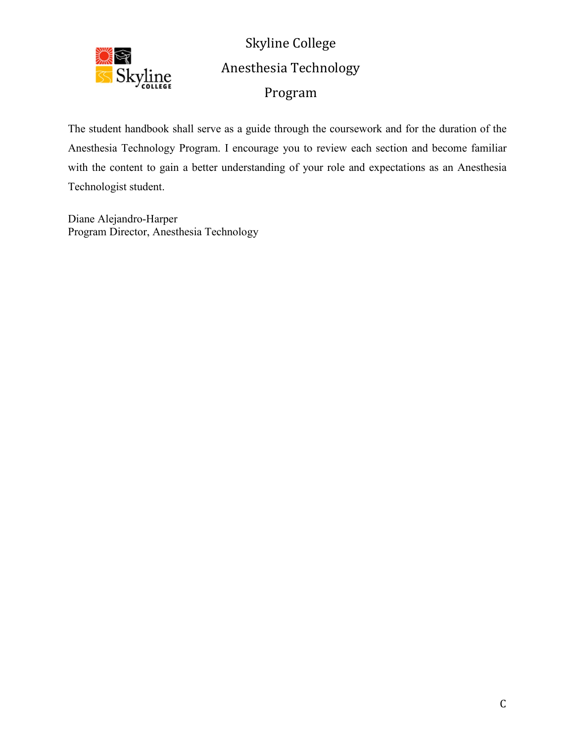

Skyline College Anesthesia Technology Program

The student handbook shall serve as a guide through the coursework and for the duration of the Anesthesia Technology Program. I encourage you to review each section and become familiar with the content to gain a better understanding of your role and expectations as an Anesthesia Technologist student.

Diane Alejandro-Harper Program Director, Anesthesia Technology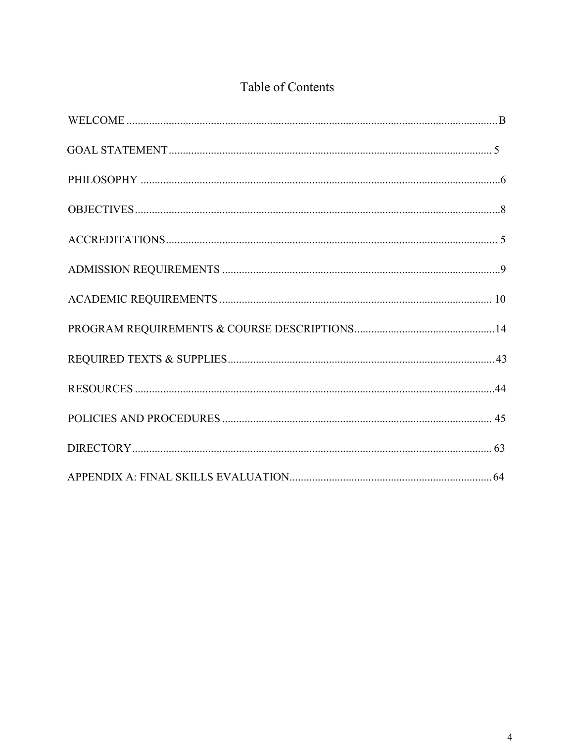# Table of Contents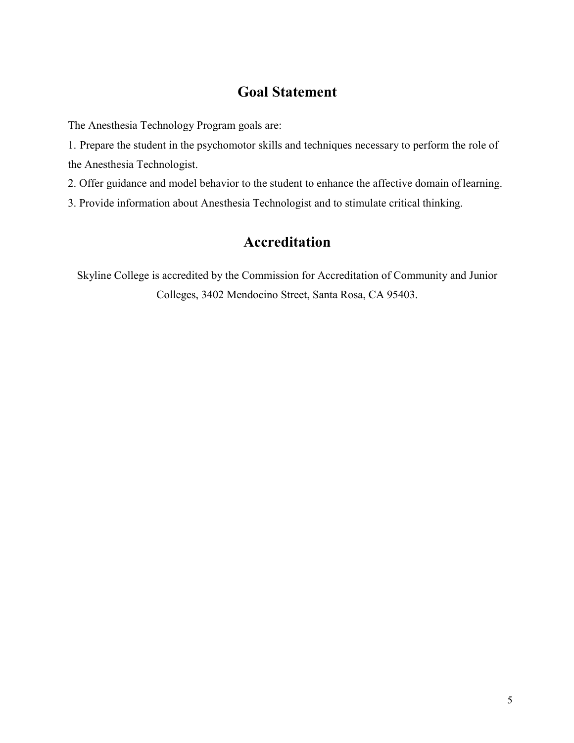# **Goal Statement**

The Anesthesia Technology Program goals are:

1. Prepare the student in the psychomotor skills and techniques necessary to perform the role of the Anesthesia Technologist.

2. Offer guidance and model behavior to the student to enhance the affective domain oflearning.

3. Provide information about Anesthesia Technologist and to stimulate critical thinking.

# **Accreditation**

Skyline College is accredited by the Commission for Accreditation of Community and Junior Colleges, 3402 Mendocino Street, Santa Rosa, CA 95403.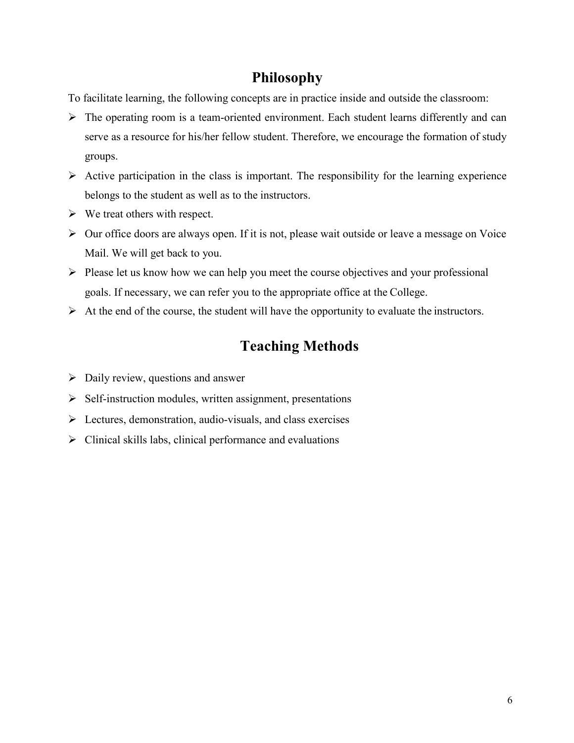# **Philosophy**

<span id="page-5-0"></span>To facilitate learning, the following concepts are in practice inside and outside the classroom:

- $\triangleright$  The operating room is a team-oriented environment. Each student learns differently and can serve as a resource for his/her fellow student. Therefore, we encourage the formation of study groups.
- $\triangleright$  Active participation in the class is important. The responsibility for the learning experience belongs to the student as well as to the instructors.
- $\triangleright$  We treat others with respect.
- Our office doors are always open. If it is not, please wait outside or leave a message on Voice Mail. We will get back to you.
- $\triangleright$  Please let us know how we can help you meet the course objectives and your professional goals. If necessary, we can refer you to the appropriate office at the College.
- $\triangleright$  At the end of the course, the student will have the opportunity to evaluate the instructors.

# **Teaching Methods**

- $\triangleright$  Daily review, questions and answer
- $\triangleright$  Self-instruction modules, written assignment, presentations
- $\triangleright$  Lectures, demonstration, audio-visuals, and class exercises
- $\triangleright$  Clinical skills labs, clinical performance and evaluations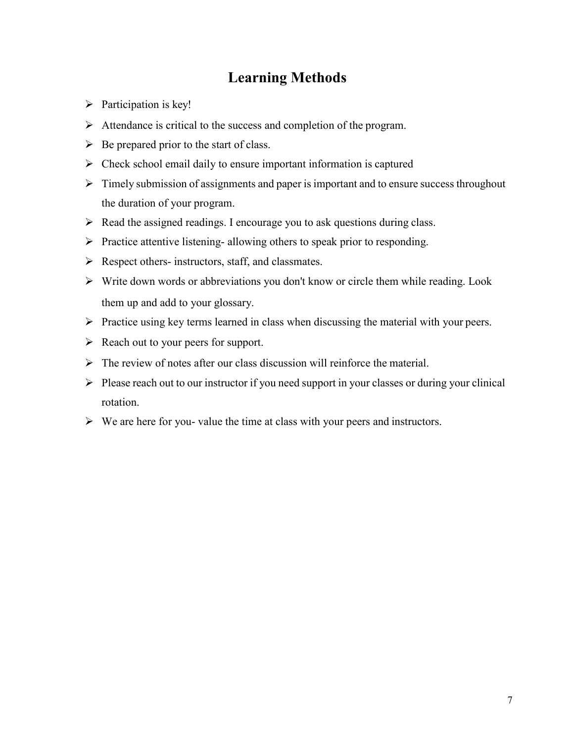# **Learning Methods**

- $\triangleright$  Participation is key!
- $\triangleright$  Attendance is critical to the success and completion of the program.
- $\triangleright$  Be prepared prior to the start of class.
- $\triangleright$  Check school email daily to ensure important information is captured
- $\triangleright$  Timely submission of assignments and paper is important and to ensure success throughout the duration of your program.
- $\triangleright$  Read the assigned readings. I encourage you to ask questions during class.
- $\triangleright$  Practice attentive listening- allowing others to speak prior to responding.
- $\triangleright$  Respect others- instructors, staff, and classmates.
- $\triangleright$  Write down words or abbreviations you don't know or circle them while reading. Look them up and add to your glossary.
- $\triangleright$  Practice using key terms learned in class when discussing the material with your peers.
- $\triangleright$  Reach out to your peers for support.
- $\triangleright$  The review of notes after our class discussion will reinforce the material.
- $\triangleright$  Please reach out to our instructor if you need support in your classes or during your clinical rotation.
- $\triangleright$  We are here for you- value the time at class with your peers and instructors.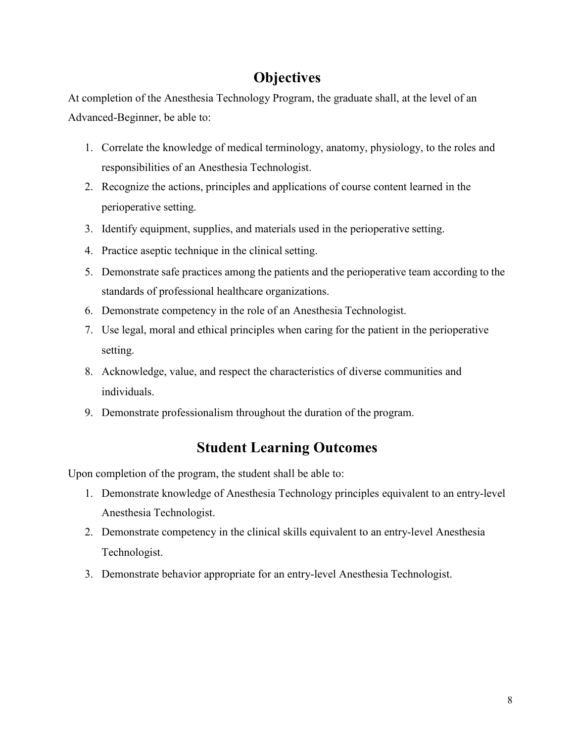# **Objectives**

<span id="page-7-0"></span>At completion of the Anesthesia Technology Program, the graduate shall, at the level of an Advanced-Beginner, be able to:

- 1. Correlate the knowledge of medical terminology, anatomy, physiology, to the roles and responsibilities of an Anesthesia Technologist.
- 2. Recognize the actions, principles and applications of course content learned in the perioperative setting.
- 3. Identify equipment, supplies, and materials used in the perioperative setting.
- 4. Practice aseptic technique in the clinical setting.
- 5. Demonstrate safe practices among the patients and the perioperative team according to the standards of professional healthcare organizations.
- 6. Demonstrate competency in the role of an Anesthesia Technologist.
- 7. Use legal, moral and ethical principles when caring for the patient in the perioperative setting.
- 8. Acknowledge, value, and respect the characteristics of diverse communities and individuals.
- 9. Demonstrate professionalism throughout the duration of the program.

# **Student Learning Outcomes**

Upon completion of the program, the student shall be able to:

- 1. Demonstrate knowledge of Anesthesia Technology principles equivalent to an entry-level Anesthesia Technologist.
- 2. Demonstrate competency in the clinical skills equivalent to an entry-level Anesthesia Technologist.
- 3. Demonstrate behavior appropriate for an entry-level Anesthesia Technologist.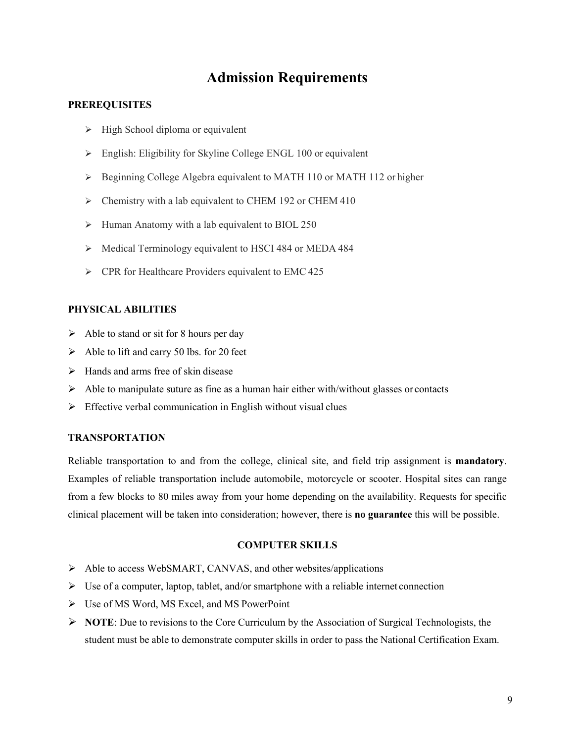# **Admission Requirements**

#### <span id="page-8-0"></span>**PREREQUISITES**

- $\triangleright$  High School diploma or equivalent
- English: Eligibility for Skyline College ENGL 100 or equivalent
- $\triangleright$  Beginning College Algebra equivalent to MATH 110 or MATH 112 or higher
- > Chemistry with a lab equivalent to CHEM 192 or CHEM 410
- $\triangleright$  Human Anatomy with a lab equivalent to BIOL 250
- $\triangleright$  Medical Terminology equivalent to HSCI 484 or MEDA 484
- $\triangleright$  CPR for Healthcare Providers equivalent to EMC 425

#### **PHYSICAL ABILITIES**

- $\triangleright$  Able to stand or sit for 8 hours per day
- $\triangleright$  Able to lift and carry 50 lbs. for 20 feet
- $\triangleright$  Hands and arms free of skin disease
- $\triangleright$  Able to manipulate suture as fine as a human hair either with/without glasses or contacts
- $\triangleright$  Effective verbal communication in English without visual clues

## **TRANSPORTATION**

Reliable transportation to and from the college, clinical site, and field trip assignment is **mandatory**. Examples of reliable transportation include automobile, motorcycle or scooter. Hospital sites can range from a few blocks to 80 miles away from your home depending on the availability. Requests for specific clinical placement will be taken into consideration; however, there is **no guarantee** this will be possible.

#### **COMPUTER SKILLS**

- $\triangleright$  Able to access WebSMART, CANVAS, and other websites/applications
- $\triangleright$  Use of a computer, laptop, tablet, and/or smartphone with a reliable internet connection
- Use of MS Word, MS Excel, and MS PowerPoint
- **NOTE**: Due to revisions to the Core Curriculum by the Association of Surgical Technologists, the student must be able to demonstrate computer skills in order to pass the National Certification Exam.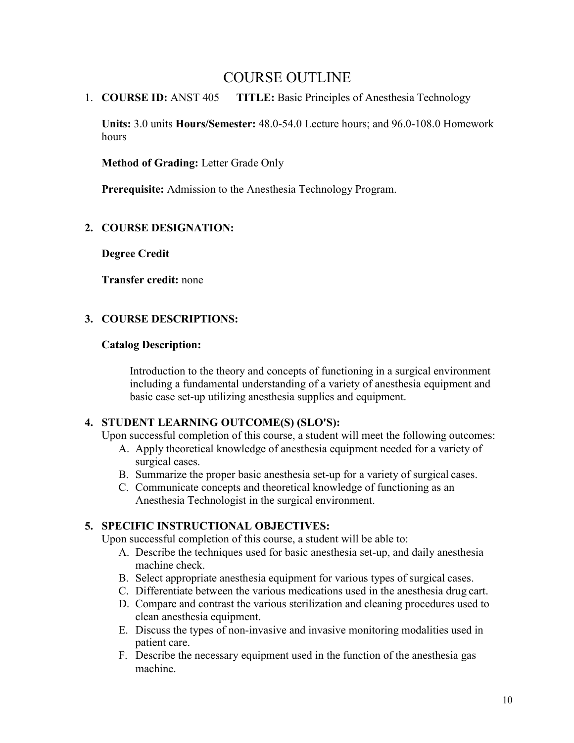# COURSE OUTLINE

1. **COURSE ID:** ANST 405 **TITLE:** Basic Principles of Anesthesia Technology

**Units:** 3.0 units **Hours/Semester:** 48.0-54.0 Lecture hours; and 96.0-108.0 Homework hours

**Method of Grading:** Letter Grade Only

**Prerequisite:** Admission to the Anesthesia Technology Program.

# **2. COURSE DESIGNATION:**

**Degree Credit**

**Transfer credit:** none

# **3. COURSE DESCRIPTIONS:**

#### **Catalog Description:**

Introduction to the theory and concepts of functioning in a surgical environment including a fundamental understanding of a variety of anesthesia equipment and basic case set-up utilizing anesthesia supplies and equipment.

## **4. STUDENT LEARNING OUTCOME(S) (SLO'S):**

Upon successful completion of this course, a student will meet the following outcomes:

- A. Apply theoretical knowledge of anesthesia equipment needed for a variety of surgical cases.
- B. Summarize the proper basic anesthesia set-up for a variety of surgical cases.
- C. Communicate concepts and theoretical knowledge of functioning as an Anesthesia Technologist in the surgical environment.

# **5. SPECIFIC INSTRUCTIONAL OBJECTIVES:**

Upon successful completion of this course, a student will be able to:

- A. Describe the techniques used for basic anesthesia set-up, and daily anesthesia machine check.
- B. Select appropriate anesthesia equipment for various types of surgical cases.
- C. Differentiate between the various medications used in the anesthesia drug cart.
- D. Compare and contrast the various sterilization and cleaning procedures used to clean anesthesia equipment.
- E. Discuss the types of non-invasive and invasive monitoring modalities used in patient care.
- F. Describe the necessary equipment used in the function of the anesthesia gas machine.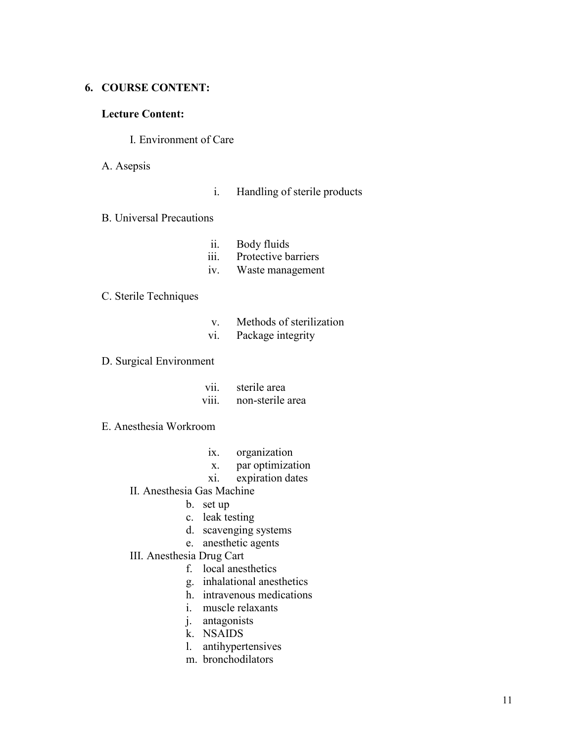#### **6. COURSE CONTENT:**

## **Lecture Content:**

#### I. Environment of Care

A. Asepsis

- i. Handling of sterile products
- B. Universal Precautions
	- ii. Body fluids
	- iii. Protective barriers
	- iv. Waste management

# C. Sterile Techniques

- v. Methods of sterilization
- vi. Package integrity

## D. Surgical Environment

| V11.  | sterile area     |
|-------|------------------|
| V111. | non-sterile area |

## E. Anesthesia Workroom

- ix. organization
- x. par optimization
- xi. expiration dates
- II. Anesthesia Gas Machine
	- b. set up
	- c. leak testing
	- d. scavenging systems
	- e. anesthetic agents
- III. Anesthesia Drug Cart
	- f. local anesthetics
	- g. inhalational anesthetics
	- h. intravenous medications
	- i. muscle relaxants
	- j. antagonists
	- k. NSAIDS
	- l. antihypertensives
	- m. bronchodilators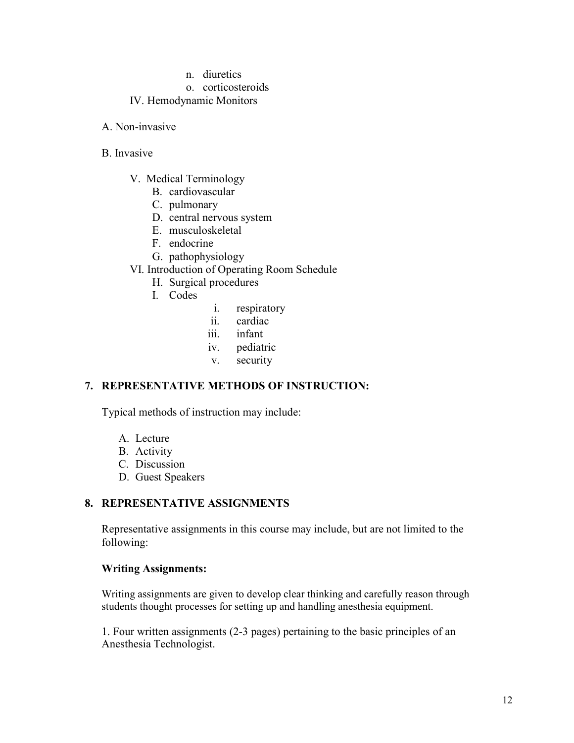#### n. diuretics

#### o. corticosteroids

## IV. Hemodynamic Monitors

A. Non-invasive

#### B. Invasive

- V. Medical Terminology
	- B. cardiovascular
	- C. pulmonary
	- D. central nervous system
	- E. musculoskeletal
	- F. endocrine
	- G. pathophysiology
- VI. Introduction of Operating Room Schedule
	- H. Surgical procedures
	- I. Codes
- i. respiratory
- ii. cardiac
- iii. infant
- iv. pediatric
- v. security

## **7. REPRESENTATIVE METHODS OF INSTRUCTION:**

Typical methods of instruction may include:

- A. Lecture
- B. Activity
- C. Discussion
- D. Guest Speakers

# **8. REPRESENTATIVE ASSIGNMENTS**

Representative assignments in this course may include, but are not limited to the following:

## **Writing Assignments:**

Writing assignments are given to develop clear thinking and carefully reason through students thought processes for setting up and handling anesthesia equipment.

1. Four written assignments (2-3 pages) pertaining to the basic principles of an Anesthesia Technologist.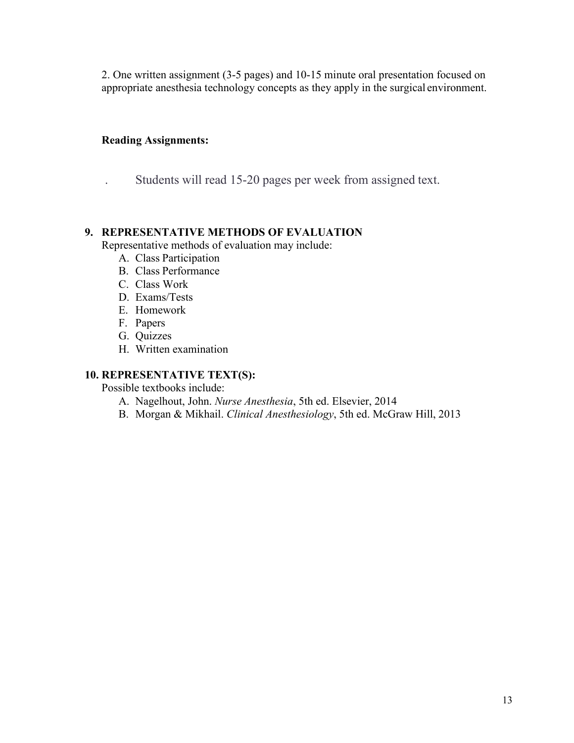2. One written assignment (3-5 pages) and 10-15 minute oral presentation focused on appropriate anesthesia technology concepts as they apply in the surgical environment.

# **Reading Assignments:**

. Students will read 15-20 pages per week from assigned text.

# **9. REPRESENTATIVE METHODS OF EVALUATION**

Representative methods of evaluation may include:

- A. Class Participation
- B. Class Performance
- C. Class Work
- D. Exams/Tests
- E. Homework
- F. Papers
- G. Quizzes
- H. Written examination

# **10. REPRESENTATIVE TEXT(S):**

Possible textbooks include:

- A. Nagelhout, John. *Nurse Anesthesia*, 5th ed. Elsevier, 2014
- B. Morgan & Mikhail. *Clinical Anesthesiology*, 5th ed. McGraw Hill, 2013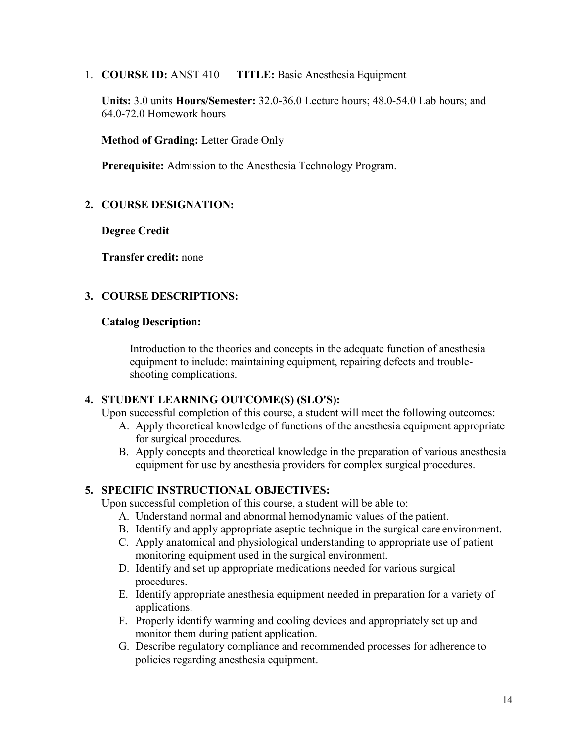1. **COURSE ID:** ANST 410 **TITLE:** Basic Anesthesia Equipment

**Units:** 3.0 units **Hours/Semester:** 32.0-36.0 Lecture hours; 48.0-54.0 Lab hours; and 64.0-72.0 Homework hours

**Method of Grading:** Letter Grade Only

**Prerequisite:** Admission to the Anesthesia Technology Program.

## **2. COURSE DESIGNATION:**

**Degree Credit**

**Transfer credit:** none

# **3. COURSE DESCRIPTIONS:**

#### **Catalog Description:**

Introduction to the theories and concepts in the adequate function of anesthesia equipment to include: maintaining equipment, repairing defects and troubleshooting complications.

## **4. STUDENT LEARNING OUTCOME(S) (SLO'S):**

Upon successful completion of this course, a student will meet the following outcomes:

- A. Apply theoretical knowledge of functions of the anesthesia equipment appropriate for surgical procedures.
- B. Apply concepts and theoretical knowledge in the preparation of various anesthesia equipment for use by anesthesia providers for complex surgical procedures.

# **5. SPECIFIC INSTRUCTIONAL OBJECTIVES:**

Upon successful completion of this course, a student will be able to:

- A. Understand normal and abnormal hemodynamic values of the patient.
- B. Identify and apply appropriate aseptic technique in the surgical care environment.
- C. Apply anatomical and physiological understanding to appropriate use of patient monitoring equipment used in the surgical environment.
- D. Identify and set up appropriate medications needed for various surgical procedures.
- E. Identify appropriate anesthesia equipment needed in preparation for a variety of applications.
- F. Properly identify warming and cooling devices and appropriately set up and monitor them during patient application.
- G. Describe regulatory compliance and recommended processes for adherence to policies regarding anesthesia equipment.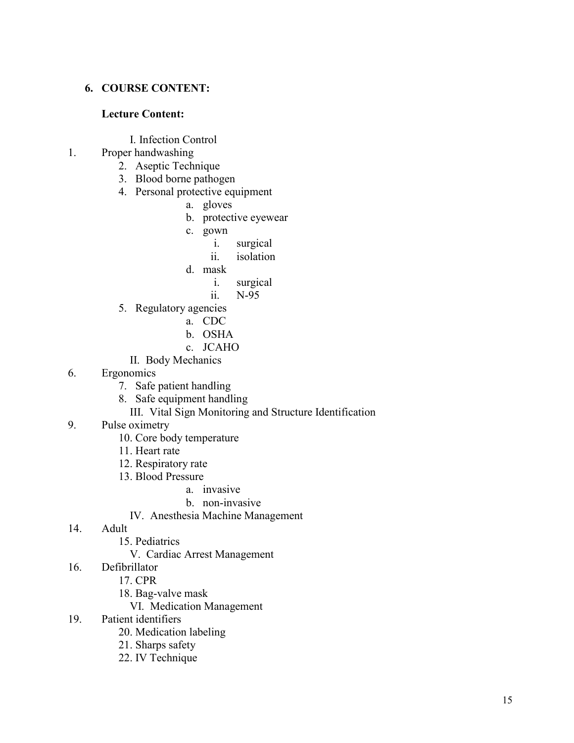## **6. COURSE CONTENT:**

#### **Lecture Content:**

I. Infection Control

# 1. Proper handwashing

- 2. Aseptic Technique
- 3. Blood borne pathogen
- 4. Personal protective equipment
	- a. gloves
	- b. protective eyewear
	- c. gown
		- i. surgical
		- ii. isolation
	- d. mask
		- i. surgical
		- ii. N-95
- 5. Regulatory agencies
	- a. CDC
	- b. OSHA
	- c. JCAHO
	- II. Body Mechanics
- 6. Ergonomics
	- 7. Safe patient handling
	- 8. Safe equipment handling
		- III. Vital Sign Monitoring and Structure Identification
- 9. Pulse oximetry
	- 10. Core body temperature
	- 11. Heart rate
	- 12. Respiratory rate
	- 13. Blood Pressure

#### a. invasive

- b. non-invasive
- IV. Anesthesia Machine Management

# 14. Adult

- 15. Pediatrics
	- V. Cardiac Arrest Management
- 16. Defibrillator
	- 17. CPR
	- 18. Bag-valve mask
		- VI. Medication Management
- 19. Patient identifiers
	- 20. Medication labeling
	- 21. Sharps safety
	- 22. IV Technique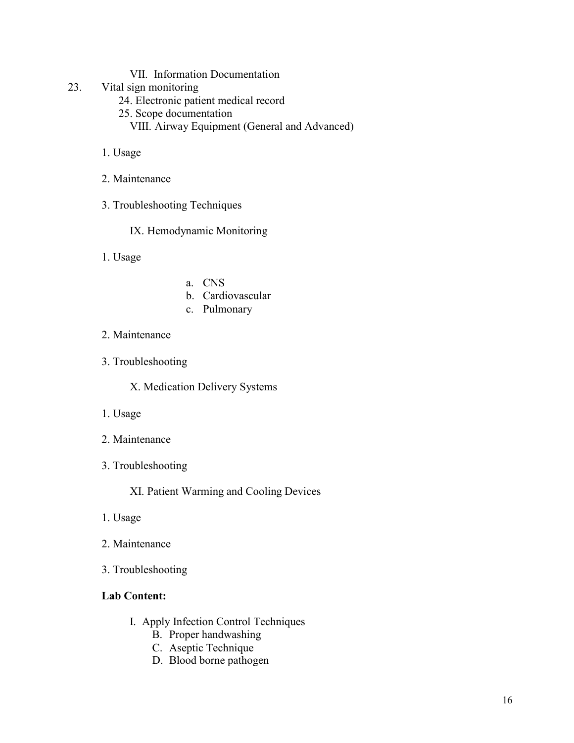## VII. Information Documentation

- 23. Vital sign monitoring
	- 24. Electronic patient medical record
	- 25. Scope documentation
		- VIII. Airway Equipment (General and Advanced)
	- 1. Usage
	- 2. Maintenance
	- 3. Troubleshooting Techniques

IX. Hemodynamic Monitoring

1. Usage

- a. CNS
- b. Cardiovascular
- c. Pulmonary
- 2. Maintenance
- 3. Troubleshooting

X. Medication Delivery Systems

- 1. Usage
- 2. Maintenance
- 3. Troubleshooting

XI. Patient Warming and Cooling Devices

- 1. Usage
- 2. Maintenance
- 3. Troubleshooting

# **Lab Content:**

- I. Apply Infection Control Techniques
	- B. Proper handwashing
	- C. Aseptic Technique
	- D. Blood borne pathogen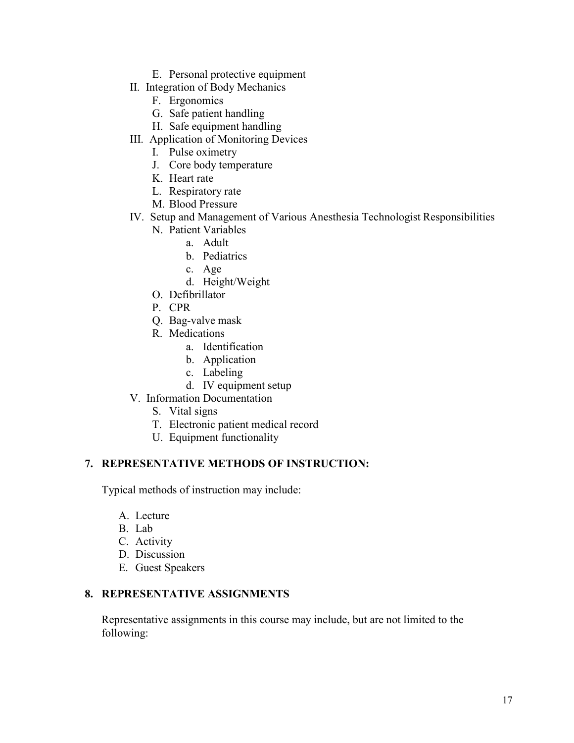- E. Personal protective equipment
- II. Integration of Body Mechanics
	- F. Ergonomics
	- G. Safe patient handling
	- H. Safe equipment handling
- III. Application of Monitoring Devices
	- I. Pulse oximetry
	- J. Core body temperature
	- K. Heart rate
	- L. Respiratory rate
	- M. Blood Pressure
- IV. Setup and Management of Various Anesthesia Technologist Responsibilities
	- N. Patient Variables
		- a. Adult
		- b. Pediatrics
		- c. Age
		- d. Height/Weight
	- O. Defibrillator
	- P. CPR
	- Q. Bag-valve mask
	- R. Medications
		- a. Identification
		- b. Application
		- c. Labeling
		- d. IV equipment setup
- V. Information Documentation
	- S. Vital signs
	- T. Electronic patient medical record
	- U. Equipment functionality

## **7. REPRESENTATIVE METHODS OF INSTRUCTION:**

Typical methods of instruction may include:

- A. Lecture
- B. Lab
- C. Activity
- D. Discussion
- E. Guest Speakers

# **8. REPRESENTATIVE ASSIGNMENTS**

Representative assignments in this course may include, but are not limited to the following: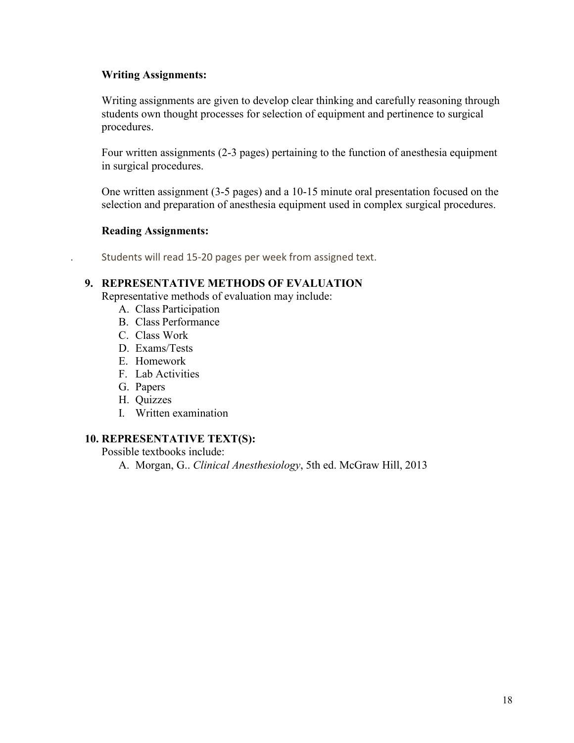# **Writing Assignments:**

Writing assignments are given to develop clear thinking and carefully reasoning through students own thought processes for selection of equipment and pertinence to surgical procedures.

Four written assignments (2-3 pages) pertaining to the function of anesthesia equipment in surgical procedures.

One written assignment (3-5 pages) and a 10-15 minute oral presentation focused on the selection and preparation of anesthesia equipment used in complex surgical procedures.

# **Reading Assignments:**

. Students will read 15-20 pages per week from assigned text.

# **9. REPRESENTATIVE METHODS OF EVALUATION**

Representative methods of evaluation may include:

- A. Class Participation
- B. Class Performance
- C. Class Work
- D. Exams/Tests
- E. Homework
- F. Lab Activities
- G. Papers
- H. Quizzes
- I. Written examination

## **10. REPRESENTATIVE TEXT(S):**

Possible textbooks include:

A. Morgan, G.. *Clinical Anesthesiology*, 5th ed. McGraw Hill, 2013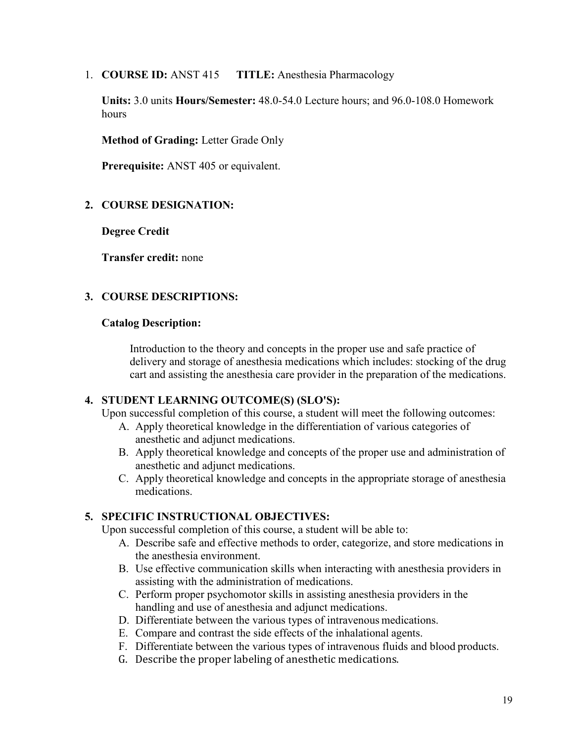1. **COURSE ID:** ANST 415 **TITLE:** Anesthesia Pharmacology

**Units:** 3.0 units **Hours/Semester:** 48.0-54.0 Lecture hours; and 96.0-108.0 Homework hours

**Method of Grading:** Letter Grade Only

**Prerequisite:** ANST 405 or equivalent.

# **2. COURSE DESIGNATION:**

**Degree Credit**

**Transfer credit:** none

# **3. COURSE DESCRIPTIONS:**

# **Catalog Description:**

Introduction to the theory and concepts in the proper use and safe practice of delivery and storage of anesthesia medications which includes: stocking of the drug cart and assisting the anesthesia care provider in the preparation of the medications.

# **4. STUDENT LEARNING OUTCOME(S) (SLO'S):**

Upon successful completion of this course, a student will meet the following outcomes:

- A. Apply theoretical knowledge in the differentiation of various categories of anesthetic and adjunct medications.
- B. Apply theoretical knowledge and concepts of the proper use and administration of anesthetic and adjunct medications.
- C. Apply theoretical knowledge and concepts in the appropriate storage of anesthesia medications.

# **5. SPECIFIC INSTRUCTIONAL OBJECTIVES:**

Upon successful completion of this course, a student will be able to:

- A. Describe safe and effective methods to order, categorize, and store medications in the anesthesia environment.
- B. Use effective communication skills when interacting with anesthesia providers in assisting with the administration of medications.
- C. Perform proper psychomotor skills in assisting anesthesia providers in the handling and use of anesthesia and adjunct medications.
- D. Differentiate between the various types of intravenous medications.
- E. Compare and contrast the side effects of the inhalational agents.
- F. Differentiate between the various types of intravenous fluids and blood products.
- G. Describe the proper labeling of anesthetic medications.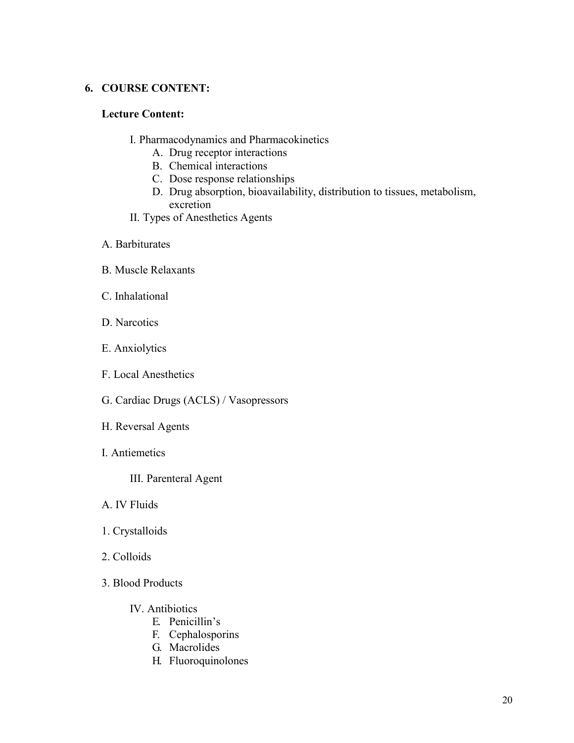# **6. COURSE CONTENT:**

## **Lecture Content:**

- I. Pharmacodynamics and Pharmacokinetics
	- A. Drug receptor interactions
	- B. Chemical interactions
	- C. Dose response relationships
	- D. Drug absorption, bioavailability, distribution to tissues, metabolism, excretion
- II. Types of Anesthetics Agents
- A. Barbiturates
- B. Muscle Relaxants
- C. Inhalational
- D. Narcotics
- E. Anxiolytics
- F. Local Anesthetics
- G. Cardiac Drugs (ACLS) / Vasopressors
- H. Reversal Agents
- I. Antiemetics
	- III. Parenteral Agent
- A. IV Fluids
- 1. Crystalloids
- 2. Colloids
- 3. Blood Products
	- IV. Antibiotics
		- E. Penicillin's
		- F. Cephalosporins
		- G. Macrolides
		- H. Fluoroquinolones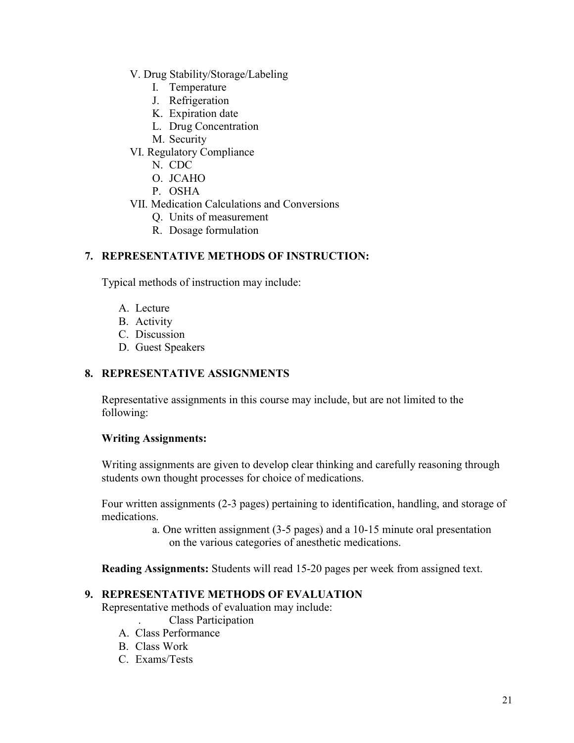- V. Drug Stability/Storage/Labeling
	- I. Temperature
	- J. Refrigeration
	- K. Expiration date
	- L. Drug Concentration
	- M. Security
- VI. Regulatory Compliance
	- N. CDC
	- O. JCAHO
	- P. OSHA
- VII. Medication Calculations and Conversions
	- Q. Units of measurement
	- R. Dosage formulation

# **7. REPRESENTATIVE METHODS OF INSTRUCTION:**

Typical methods of instruction may include:

- A. Lecture
- B. Activity
- C. Discussion
- D. Guest Speakers

# **8. REPRESENTATIVE ASSIGNMENTS**

Representative assignments in this course may include, but are not limited to the following:

## **Writing Assignments:**

Writing assignments are given to develop clear thinking and carefully reasoning through students own thought processes for choice of medications.

Four written assignments (2-3 pages) pertaining to identification, handling, and storage of medications.

> a. One written assignment (3-5 pages) and a 10-15 minute oral presentation on the various categories of anesthetic medications.

**Reading Assignments:** Students will read 15-20 pages per week from assigned text.

## **9. REPRESENTATIVE METHODS OF EVALUATION**

Representative methods of evaluation may include:

- . Class Participation
- A. Class Performance
- B. Class Work
- C. Exams/Tests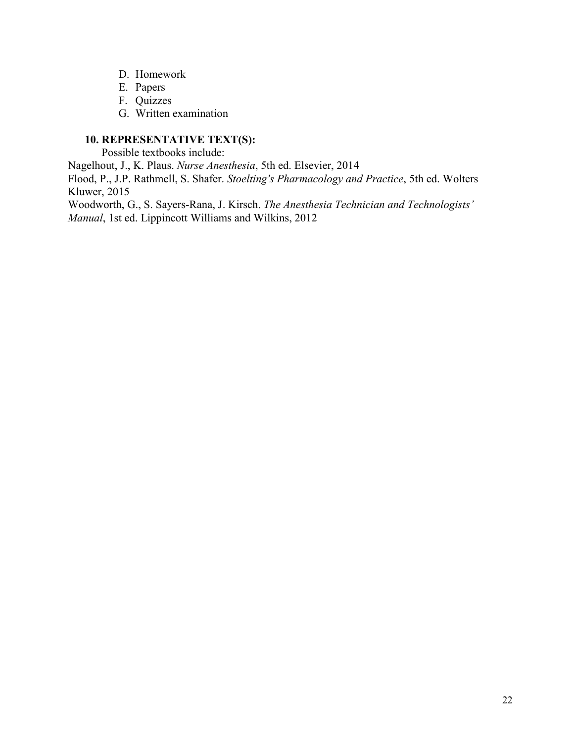- D. Homework
- E. Papers
- F. Quizzes
- G. Written examination

# **10. REPRESENTATIVE TEXT(S):**

Possible textbooks include:

Nagelhout, J., K. Plaus. *Nurse Anesthesia*, 5th ed. Elsevier, 2014

Flood, P., J.P. Rathmell, S. Shafer. *Stoelting's Pharmacology and Practice*, 5th ed. Wolters Kluwer, 2015

Woodworth, G., S. Sayers-Rana, J. Kirsch. *The Anesthesia Technician and Technologists' Manual*, 1st ed. Lippincott Williams and Wilkins, 2012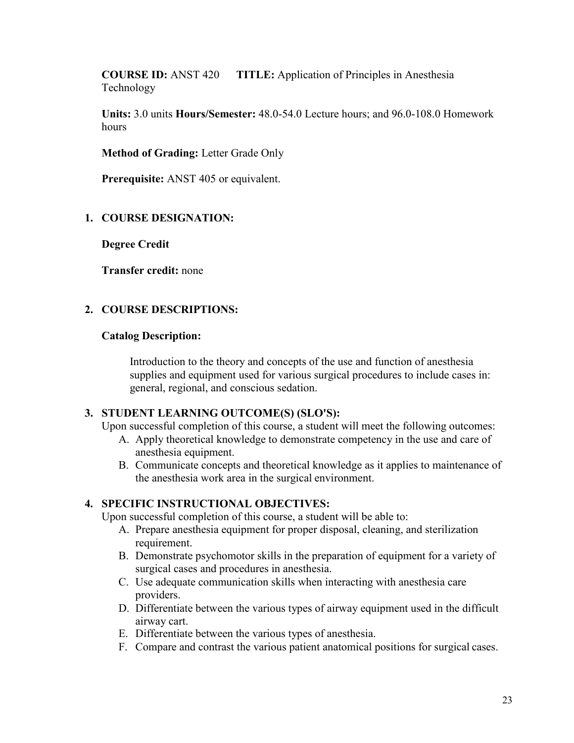**COURSE ID:** ANST 420 **TITLE:** Application of Principles in Anesthesia Technology

**Units:** 3.0 units **Hours/Semester:** 48.0-54.0 Lecture hours; and 96.0-108.0 Homework hours

**Method of Grading:** Letter Grade Only

**Prerequisite:** ANST 405 or equivalent.

## **1. COURSE DESIGNATION:**

**Degree Credit**

**Transfer credit:** none

## **2. COURSE DESCRIPTIONS:**

#### **Catalog Description:**

Introduction to the theory and concepts of the use and function of anesthesia supplies and equipment used for various surgical procedures to include cases in: general, regional, and conscious sedation.

# **3. STUDENT LEARNING OUTCOME(S) (SLO'S):**

Upon successful completion of this course, a student will meet the following outcomes:

- A. Apply theoretical knowledge to demonstrate competency in the use and care of anesthesia equipment.
- B. Communicate concepts and theoretical knowledge as it applies to maintenance of the anesthesia work area in the surgical environment.

## **4. SPECIFIC INSTRUCTIONAL OBJECTIVES:**

Upon successful completion of this course, a student will be able to:

- A. Prepare anesthesia equipment for proper disposal, cleaning, and sterilization requirement.
- B. Demonstrate psychomotor skills in the preparation of equipment for a variety of surgical cases and procedures in anesthesia.
- C. Use adequate communication skills when interacting with anesthesia care providers.
- D. Differentiate between the various types of airway equipment used in the difficult airway cart.
- E. Differentiate between the various types of anesthesia.
- F. Compare and contrast the various patient anatomical positions for surgical cases.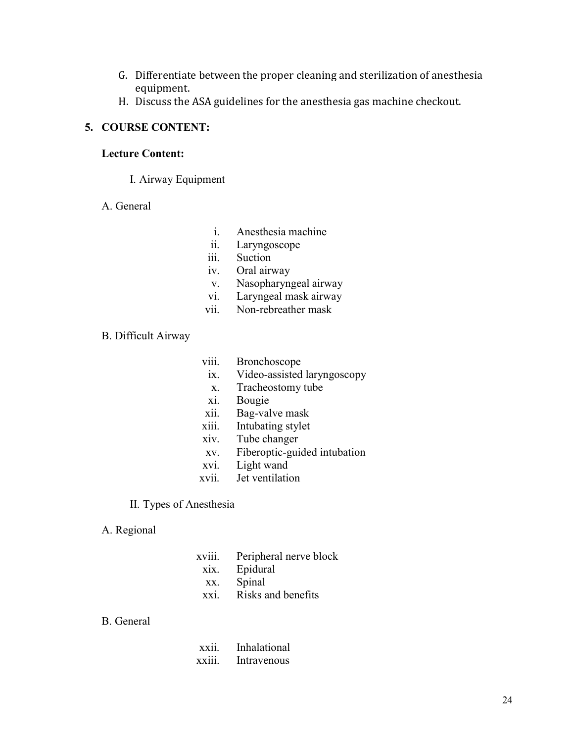- G. Differentiate between the proper cleaning and sterilization of anesthesia equipment.
- H. Discuss the ASA guidelines for the anesthesia gas machine checkout.

#### **5. COURSE CONTENT:**

#### **Lecture Content:**

I. Airway Equipment

#### A. General

- i. Anesthesia machine
- ii. Laryngoscope
- iii. Suction
- iv. Oral airway
- v. Nasopharyngeal airway
- vi. Laryngeal mask airway
- vii. Non-rebreather mask

### B. Difficult Airway

- viii. Bronchoscope
- ix. Video-assisted laryngoscopy
- x. Tracheostomy tube
- xi. Bougie
- xii. Bag-valve mask
- xiii. Intubating stylet
- xiv. Tube changer
- xv. Fiberoptic-guided intubation
- xvi. Light wand
- xvii. Jet ventilation

#### II. Types of Anesthesia

#### A. Regional

xviii. Peripheral nerve block xix. Epidural xx. Spinal xxi. Risks and benefits

## B. General

| XX11.  | Inhalational |
|--------|--------------|
| XX111. | Intravenous  |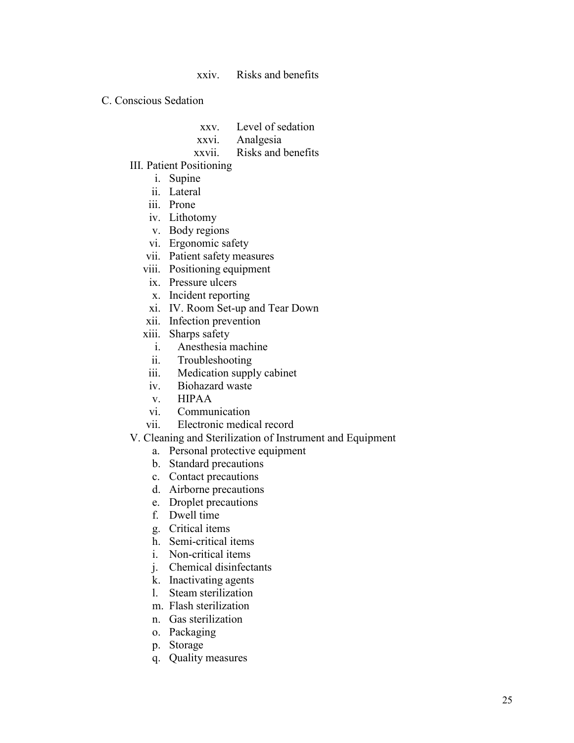xxiv. Risks and benefits

C. Conscious Sedation

- xxv. Level of sedation
- xxvi. Analgesia
- xxvii. Risks and benefits
- III. Patient Positioning
	- i. Supine
	- ii. Lateral
	- iii. Prone
	- iv. Lithotomy
	- v. Body regions
	- vi. Ergonomic safety
	- vii. Patient safety measures
	- viii. Positioning equipment
	- ix. Pressure ulcers
	- x. Incident reporting
	- xi. IV. Room Set-up and Tear Down
	- xii. Infection prevention
	- xiii. Sharps safety
		- i. Anesthesia machine
		- ii. Troubleshooting
	- iii. Medication supply cabinet
	- iv. Biohazard waste
	- v. HIPAA
	- vi. Communication
	- vii. Electronic medical record
- V. Cleaning and Sterilization of Instrument and Equipment
	- a. Personal protective equipment
	- b. Standard precautions
	- c. Contact precautions
	- d. Airborne precautions
	- e. Droplet precautions
	- f. Dwell time
	- g. Critical items
	- h. Semi-critical items
	- i. Non-critical items
	- j. Chemical disinfectants
	- k. Inactivating agents
	- l. Steam sterilization
	- m. Flash sterilization
	- n. Gas sterilization
	- o. Packaging
	- p. Storage
	- q. Quality measures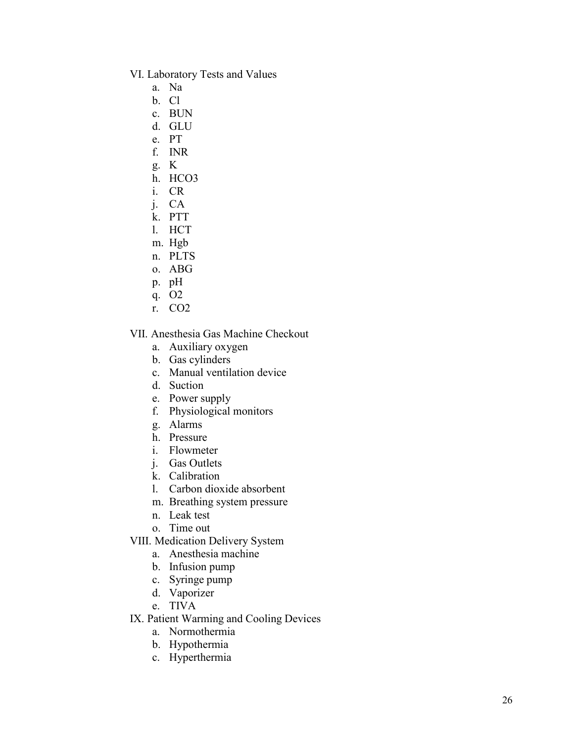- VI. Laboratory Tests and Values
	- a. Na
	- b. Cl
	- c. BUN
	- d. GLU
	- e. PT
	- f. INR
	- g. K
	- h. HCO3
	- i. CR
	- j. CA
	- k. PTT
	- l. HCT
	- m. Hgb
	- n. PLTS
	- o. ABG
	- p. pH
	- q. O2
	- r. CO2

VII. Anesthesia Gas Machine Checkout

- a. Auxiliary oxygen
- b. Gas cylinders
- c. Manual ventilation device
- d. Suction
- e. Power supply
- f. Physiological monitors
- g. Alarms
- h. Pressure
- i. Flowmeter
- j. Gas Outlets
- k. Calibration
- l. Carbon dioxide absorbent
- m. Breathing system pressure
- n. Leak test
- o. Time out
- VIII. Medication Delivery System
	- a. Anesthesia machine
	- b. Infusion pump
	- c. Syringe pump
	- d. Vaporizer
	- e. TIVA
- IX. Patient Warming and Cooling Devices
	- a. Normothermia
	- b. Hypothermia
	- c. Hyperthermia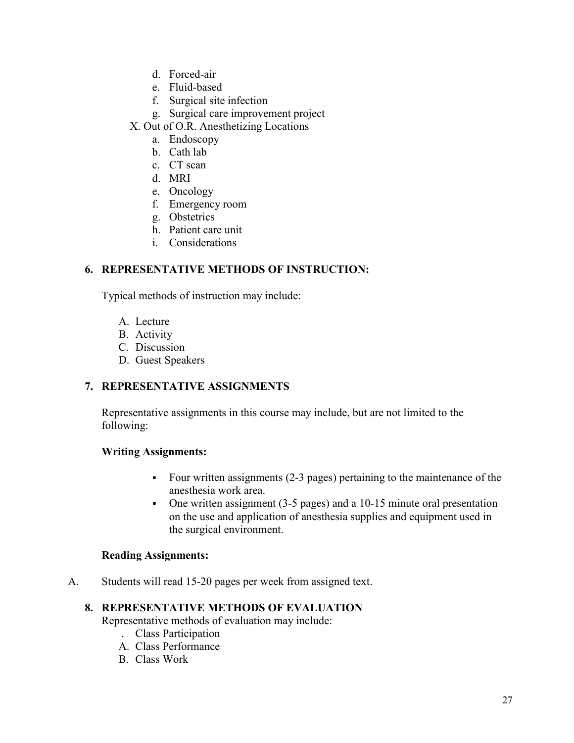- d. Forced-air
- e. Fluid-based
- f. Surgical site infection
- g. Surgical care improvement project
- X. Out of O.R. Anesthetizing Locations
	- a. Endoscopy
	- b. Cath lab
	- c. CT scan
	- d. MRI
	- e. Oncology
	- f. Emergency room
	- g. Obstetrics
	- h. Patient care unit
	- i. Considerations

# **6. REPRESENTATIVE METHODS OF INSTRUCTION:**

Typical methods of instruction may include:

- A. Lecture
- B. Activity
- C. Discussion
- D. Guest Speakers

# **7. REPRESENTATIVE ASSIGNMENTS**

Representative assignments in this course may include, but are not limited to the following:

# **Writing Assignments:**

- Four written assignments (2-3 pages) pertaining to the maintenance of the anesthesia work area.
- One written assignment (3-5 pages) and a 10-15 minute oral presentation on the use and application of anesthesia supplies and equipment used in the surgical environment.

# **Reading Assignments:**

A. Students will read 15-20 pages per week from assigned text.

# **8. REPRESENTATIVE METHODS OF EVALUATION**

Representative methods of evaluation may include:

- . Class Participation
- A. Class Performance
- B. Class Work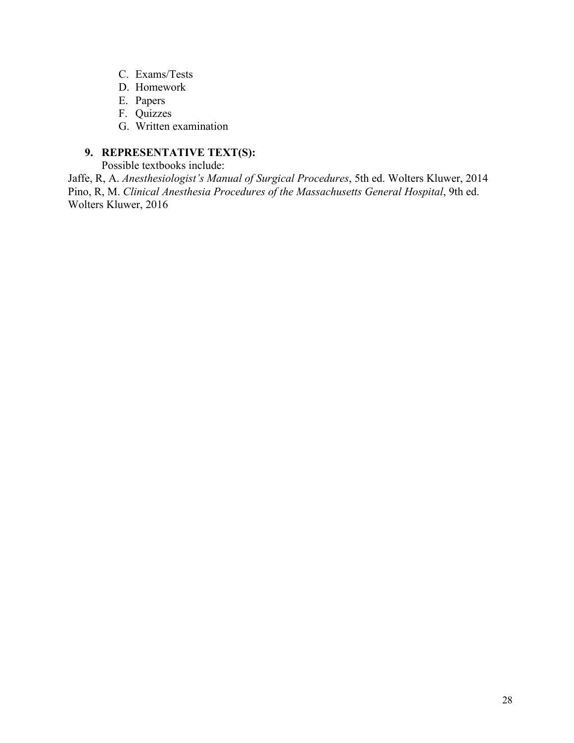- C. Exams/Tests
- D. Homework
- E. Papers
- F. Quizzes
- G. Written examination

# **9. REPRESENTATIVE TEXT(S):**

Possible textbooks include:

Jaffe, R, A. *Anesthesiologist's Manual of Surgical Procedures*, 5th ed. Wolters Kluwer, 2014 Pino, R, M. *Clinical Anesthesia Procedures of the Massachusetts General Hospital*, 9th ed. Wolters Kluwer, 2016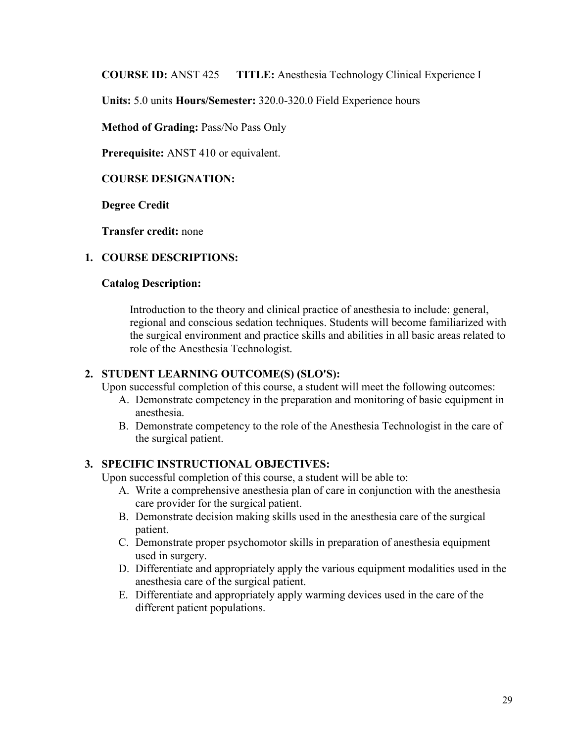**COURSE ID:** ANST 425 **TITLE:** Anesthesia Technology Clinical Experience I

**Units:** 5.0 units **Hours/Semester:** 320.0-320.0 Field Experience hours

**Method of Grading:** Pass/No Pass Only

**Prerequisite:** ANST 410 or equivalent.

# **COURSE DESIGNATION:**

**Degree Credit** 

**Transfer credit:** none

## **1. COURSE DESCRIPTIONS:**

## **Catalog Description:**

Introduction to the theory and clinical practice of anesthesia to include: general, regional and conscious sedation techniques. Students will become familiarized with the surgical environment and practice skills and abilities in all basic areas related to role of the Anesthesia Technologist.

## **2. STUDENT LEARNING OUTCOME(S) (SLO'S):**

Upon successful completion of this course, a student will meet the following outcomes:

- A. Demonstrate competency in the preparation and monitoring of basic equipment in anesthesia.
- B. Demonstrate competency to the role of the Anesthesia Technologist in the care of the surgical patient.

# **3. SPECIFIC INSTRUCTIONAL OBJECTIVES:**

Upon successful completion of this course, a student will be able to:

- A. Write a comprehensive anesthesia plan of care in conjunction with the anesthesia care provider for the surgical patient.
- B. Demonstrate decision making skills used in the anesthesia care of the surgical patient.
- C. Demonstrate proper psychomotor skills in preparation of anesthesia equipment used in surgery.
- D. Differentiate and appropriately apply the various equipment modalities used in the anesthesia care of the surgical patient.
- E. Differentiate and appropriately apply warming devices used in the care of the different patient populations.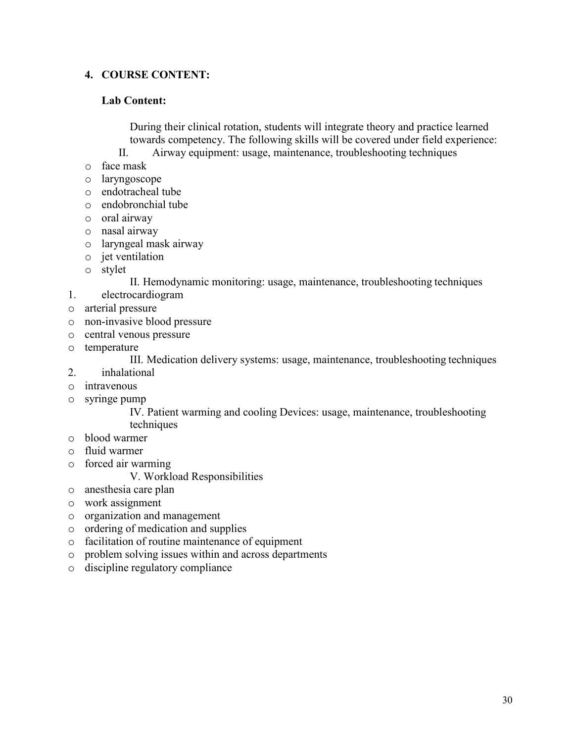# **4. COURSE CONTENT:**

## **Lab Content:**

During their clinical rotation, students will integrate theory and practice learned towards competency. The following skills will be covered under field experience: II. Airway equipment: usage, maintenance, troubleshooting techniques

- o face mask
- o laryngoscope
- o endotracheal tube
- o endobronchial tube
- o oral airway
- o nasal airway
- o laryngeal mask airway
- o jet ventilation
- o stylet

#### II. Hemodynamic monitoring: usage, maintenance, troubleshooting techniques

- 1. electrocardiogram
- o arterial pressure
- o non-invasive blood pressure
- o central venous pressure
- o temperature

III. Medication delivery systems: usage, maintenance, troubleshooting techniques

- 2. inhalational
- o intravenous
- o syringe pump

IV. Patient warming and cooling Devices: usage, maintenance, troubleshooting techniques

- o blood warmer
- o fluid warmer
- o forced air warming

#### V. Workload Responsibilities

- o anesthesia care plan
- o work assignment
- o organization and management
- o ordering of medication and supplies
- o facilitation of routine maintenance of equipment
- o problem solving issues within and across departments
- o discipline regulatory compliance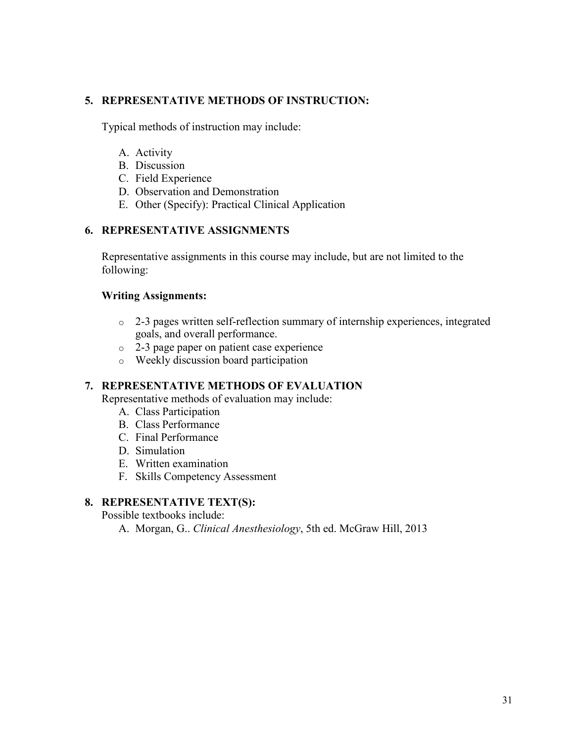# **5. REPRESENTATIVE METHODS OF INSTRUCTION:**

Typical methods of instruction may include:

- A. Activity
- B. Discussion
- C. Field Experience
- D. Observation and Demonstration
- E. Other (Specify): Practical Clinical Application

# **6. REPRESENTATIVE ASSIGNMENTS**

Representative assignments in this course may include, but are not limited to the following:

# **Writing Assignments:**

- o 2-3 pages written self-reflection summary of internship experiences, integrated goals, and overall performance.
- o 2-3 page paper on patient case experience
- o Weekly discussion board participation

# **7. REPRESENTATIVE METHODS OF EVALUATION**

Representative methods of evaluation may include:

- A. Class Participation
- B. Class Performance
- C. Final Performance
- D. Simulation
- E. Written examination
- F. Skills Competency Assessment

# **8. REPRESENTATIVE TEXT(S):**

Possible textbooks include:

A. Morgan, G.. *Clinical Anesthesiology*, 5th ed. McGraw Hill, 2013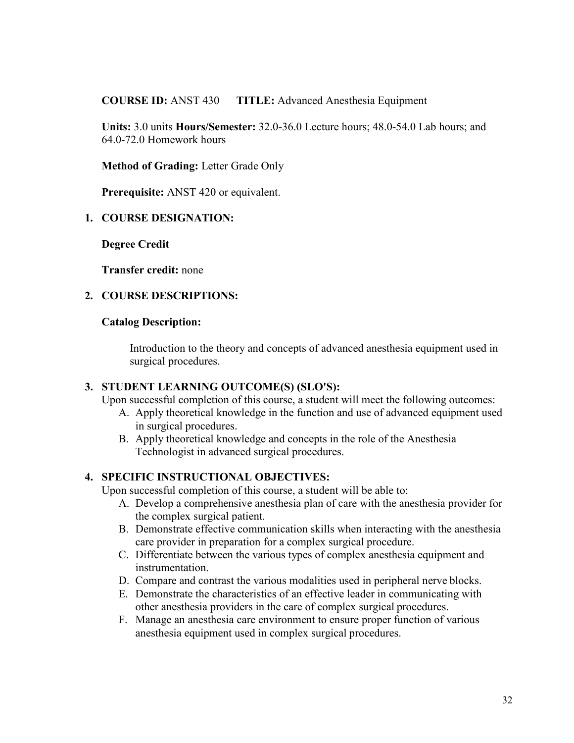**COURSE ID:** ANST 430 **TITLE:** Advanced Anesthesia Equipment

**Units:** 3.0 units **Hours/Semester:** 32.0-36.0 Lecture hours; 48.0-54.0 Lab hours; and 64.0-72.0 Homework hours

**Method of Grading:** Letter Grade Only

**Prerequisite:** ANST 420 or equivalent.

# **1. COURSE DESIGNATION:**

**Degree Credit**

**Transfer credit:** none

# **2. COURSE DESCRIPTIONS:**

## **Catalog Description:**

Introduction to the theory and concepts of advanced anesthesia equipment used in surgical procedures.

## **3. STUDENT LEARNING OUTCOME(S) (SLO'S):**

Upon successful completion of this course, a student will meet the following outcomes:

- A. Apply theoretical knowledge in the function and use of advanced equipment used in surgical procedures.
- B. Apply theoretical knowledge and concepts in the role of the Anesthesia Technologist in advanced surgical procedures.

# **4. SPECIFIC INSTRUCTIONAL OBJECTIVES:**

Upon successful completion of this course, a student will be able to:

- A. Develop a comprehensive anesthesia plan of care with the anesthesia provider for the complex surgical patient.
- B. Demonstrate effective communication skills when interacting with the anesthesia care provider in preparation for a complex surgical procedure.
- C. Differentiate between the various types of complex anesthesia equipment and instrumentation.
- D. Compare and contrast the various modalities used in peripheral nerve blocks.
- E. Demonstrate the characteristics of an effective leader in communicating with other anesthesia providers in the care of complex surgical procedures.
- F. Manage an anesthesia care environment to ensure proper function of various anesthesia equipment used in complex surgical procedures.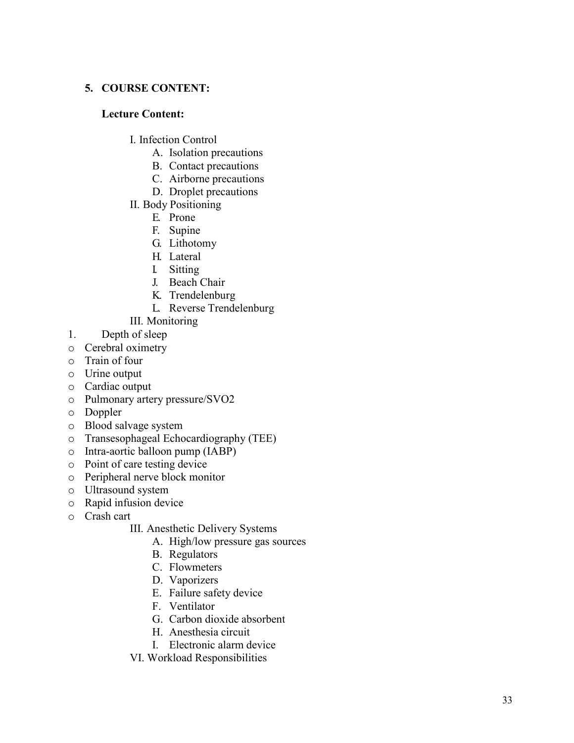# **5. COURSE CONTENT:**

## **Lecture Content:**

- I. Infection Control
	- A. Isolation precautions
	- B. Contact precautions
	- C. Airborne precautions
	- D. Droplet precautions
- II. Body Positioning
	- E. Prone
	- F. Supine
	- G. Lithotomy
	- H. Lateral
	- I. Sitting
	- J. Beach Chair
	- K. Trendelenburg
	- L. Reverse Trendelenburg
- III. Monitoring
- 1. Depth of sleep
- o Cerebral oximetry
- o Train of four
- o Urine output
- o Cardiac output
- o Pulmonary artery pressure/SVO2
- o Doppler
- o Blood salvage system
- o Transesophageal Echocardiography (TEE)
- o Intra-aortic balloon pump (IABP)
- o Point of care testing device
- o Peripheral nerve block monitor
- o Ultrasound system
- o Rapid infusion device
- o Crash cart
	- III. Anesthetic Delivery Systems
		- A. High/low pressure gas sources
		- B. Regulators
		- C. Flowmeters
		- D. Vaporizers
		- E. Failure safety device
		- F. Ventilator
		- G. Carbon dioxide absorbent
		- H. Anesthesia circuit
		- I. Electronic alarm device
	- VI. Workload Responsibilities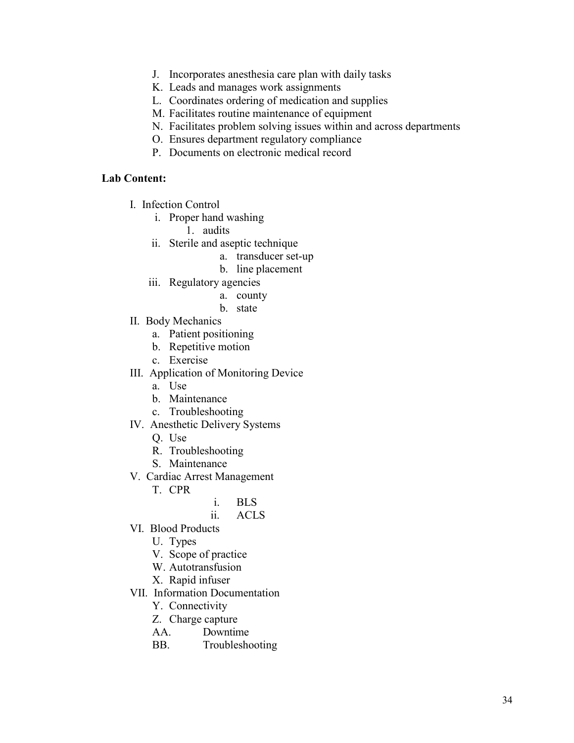- J. Incorporates anesthesia care plan with daily tasks
- K. Leads and manages work assignments
- L. Coordinates ordering of medication and supplies
- M. Facilitates routine maintenance of equipment
- N. Facilitates problem solving issues within and across departments
- O. Ensures department regulatory compliance
- P. Documents on electronic medical record

#### **Lab Content:**

- I. Infection Control
	- i. Proper hand washing
		- 1. audits
	- ii. Sterile and aseptic technique
		- a. transducer set-up
		- b. line placement
	- iii. Regulatory agencies
		- a. county
		- b. state
- II. Body Mechanics
	- a. Patient positioning
	- b. Repetitive motion
	- c. Exercise
- III. Application of Monitoring Device
	- a. Use
	- b. Maintenance
	- c. Troubleshooting
- IV. Anesthetic Delivery Systems
	- Q. Use
	- R. Troubleshooting
	- S. Maintenance
- V. Cardiac Arrest Management
	- T. CPR
		- i. BLS
		- ii. ACLS
- VI. Blood Products
	- U. Types
	- V. Scope of practice
	- W. Autotransfusion
	- X. Rapid infuser
- VII. Information Documentation
	- Y. Connectivity
	- Z. Charge capture
	- AA. Downtime
	- BB. Troubleshooting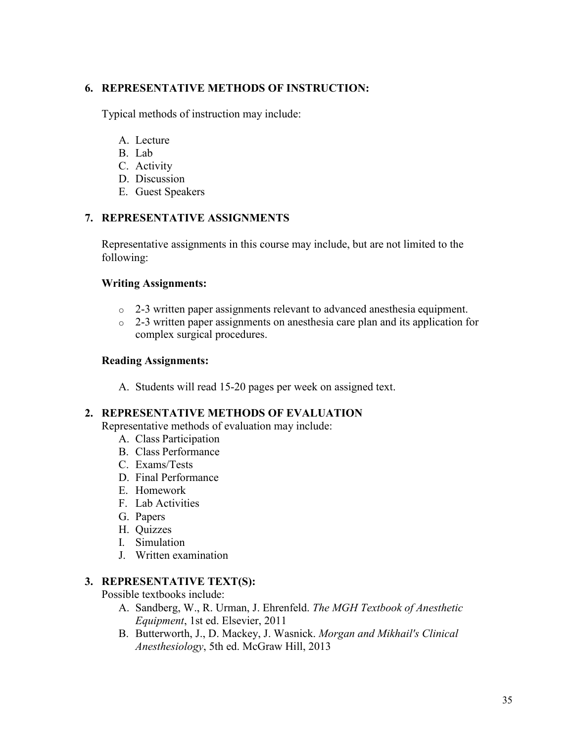# **6. REPRESENTATIVE METHODS OF INSTRUCTION:**

Typical methods of instruction may include:

- A. Lecture
- B. Lab
- C. Activity
- D. Discussion
- E. Guest Speakers

# **7. REPRESENTATIVE ASSIGNMENTS**

Representative assignments in this course may include, but are not limited to the following:

## **Writing Assignments:**

- o 2-3 written paper assignments relevant to advanced anesthesia equipment.
- o 2-3 written paper assignments on anesthesia care plan and its application for complex surgical procedures.

# **Reading Assignments:**

A. Students will read 15-20 pages per week on assigned text.

# **2. REPRESENTATIVE METHODS OF EVALUATION**

Representative methods of evaluation may include:

- A. Class Participation
- B. Class Performance
- C. Exams/Tests
- D. Final Performance
- E. Homework
- F. Lab Activities
- G. Papers
- H. Quizzes
- I. Simulation
- J. Written examination

# **3. REPRESENTATIVE TEXT(S):**

Possible textbooks include:

- A. Sandberg, W., R. Urman, J. Ehrenfeld. *The MGH Textbook of Anesthetic Equipment*, 1st ed. Elsevier, 2011
- B. Butterworth, J., D. Mackey, J. Wasnick. *Morgan and Mikhail's Clinical Anesthesiology*, 5th ed. McGraw Hill, 2013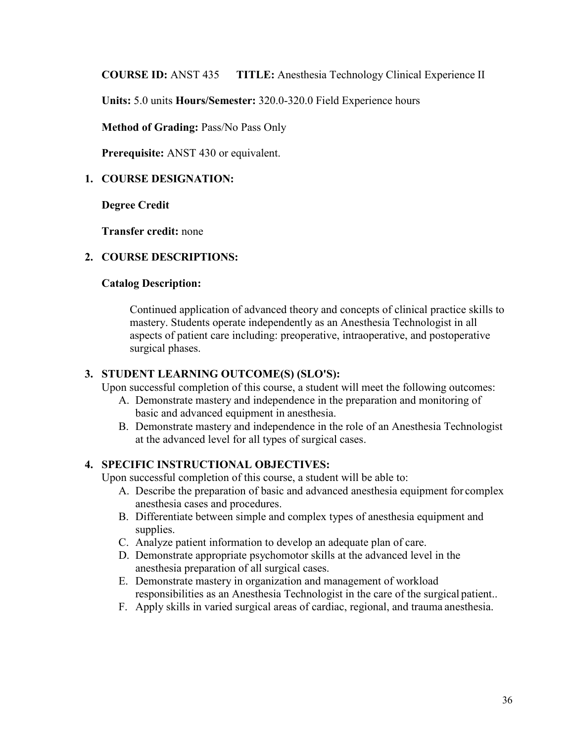**COURSE ID:** ANST 435 **TITLE:** Anesthesia Technology Clinical Experience II

**Units:** 5.0 units **Hours/Semester:** 320.0-320.0 Field Experience hours

**Method of Grading:** Pass/No Pass Only

**Prerequisite:** ANST 430 or equivalent.

# **1. COURSE DESIGNATION:**

**Degree Credit**

**Transfer credit:** none

## **2. COURSE DESCRIPTIONS:**

#### **Catalog Description:**

Continued application of advanced theory and concepts of clinical practice skills to mastery. Students operate independently as an Anesthesia Technologist in all aspects of patient care including: preoperative, intraoperative, and postoperative surgical phases.

#### **3. STUDENT LEARNING OUTCOME(S) (SLO'S):**

Upon successful completion of this course, a student will meet the following outcomes:

- A. Demonstrate mastery and independence in the preparation and monitoring of basic and advanced equipment in anesthesia.
- B. Demonstrate mastery and independence in the role of an Anesthesia Technologist at the advanced level for all types of surgical cases.

## **4. SPECIFIC INSTRUCTIONAL OBJECTIVES:**

Upon successful completion of this course, a student will be able to:

- A. Describe the preparation of basic and advanced anesthesia equipment for complex anesthesia cases and procedures.
- B. Differentiate between simple and complex types of anesthesia equipment and supplies.
- C. Analyze patient information to develop an adequate plan of care.
- D. Demonstrate appropriate psychomotor skills at the advanced level in the anesthesia preparation of all surgical cases.
- E. Demonstrate mastery in organization and management of workload responsibilities as an Anesthesia Technologist in the care of the surgical patient..
- F. Apply skills in varied surgical areas of cardiac, regional, and trauma anesthesia.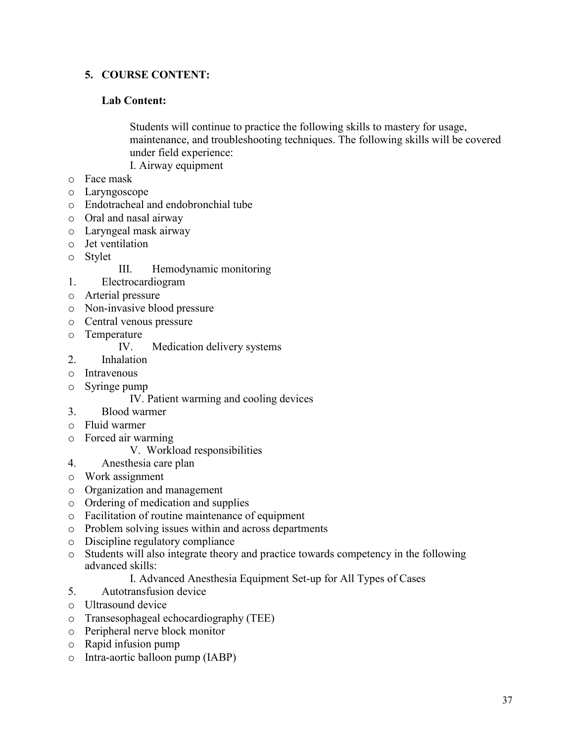# **5. COURSE CONTENT:**

# **Lab Content:**

Students will continue to practice the following skills to mastery for usage, maintenance, and troubleshooting techniques. The following skills will be covered under field experience: I. Airway equipment

- o Face mask
- 
- o Laryngoscope
- o Endotracheal and endobronchial tube
- o Oral and nasal airway
- o Laryngeal mask airway
- o Jet ventilation
- o Stylet
- III. Hemodynamic monitoring
- 1. Electrocardiogram
- o Arterial pressure
- o Non-invasive blood pressure
- o Central venous pressure
- o Temperature

#### Medication delivery systems

- 2. Inhalation
- o Intravenous
- o Syringe pump
	- IV. Patient warming and cooling devices
- 3. Blood warmer
- o Fluid warmer
- o Forced air warming
	- V. Workload responsibilities
- 4. Anesthesia care plan
- o Work assignment
- o Organization and management
- o Ordering of medication and supplies
- o Facilitation of routine maintenance of equipment
- o Problem solving issues within and across departments
- o Discipline regulatory compliance
- o Students will also integrate theory and practice towards competency in the following advanced skills:
	- I. Advanced Anesthesia Equipment Set-up for All Types of Cases
- 5. Autotransfusion device
- o Ultrasound device
- o Transesophageal echocardiography (TEE)
- o Peripheral nerve block monitor
- o Rapid infusion pump
- o Intra-aortic balloon pump (IABP)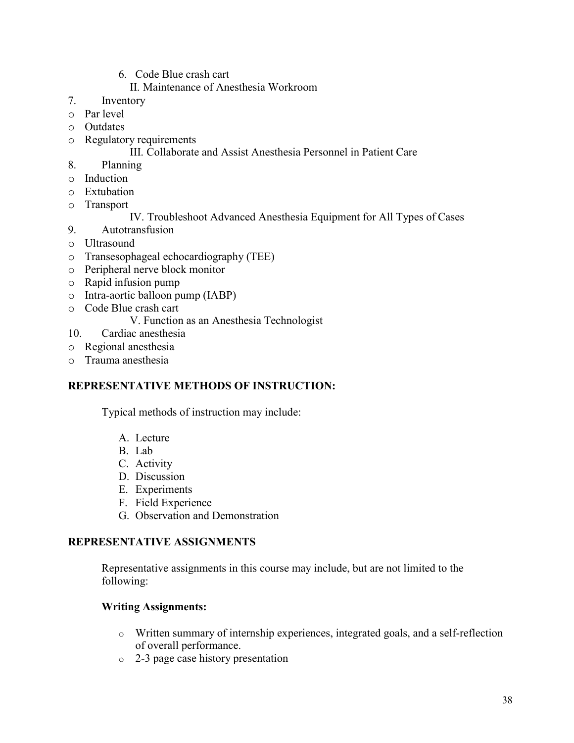6. Code Blue crash cart

# II. Maintenance of Anesthesia Workroom

- 7. Inventory
- o Par level
- o Outdates
- o Regulatory requirements

# III. Collaborate and Assist Anesthesia Personnel in Patient Care

- 8. Planning
- o Induction
- o Extubation
- o Transport

# IV. Troubleshoot Advanced Anesthesia Equipment for All Types of Cases

- 9. Autotransfusion
- o Ultrasound
- o Transesophageal echocardiography (TEE)
- o Peripheral nerve block monitor
- o Rapid infusion pump
- o Intra-aortic balloon pump (IABP)
- o Code Blue crash cart

# V. Function as an Anesthesia Technologist

- 10. Cardiac anesthesia
- o Regional anesthesia
- o Trauma anesthesia

# **REPRESENTATIVE METHODS OF INSTRUCTION:**

Typical methods of instruction may include:

- A. Lecture
- B. Lab
- C. Activity
- D. Discussion
- E. Experiments
- F. Field Experience
- G. Observation and Demonstration

# **REPRESENTATIVE ASSIGNMENTS**

Representative assignments in this course may include, but are not limited to the following:

# **Writing Assignments:**

- o Written summary of internship experiences, integrated goals, and a self-reflection of overall performance.
- o 2-3 page case history presentation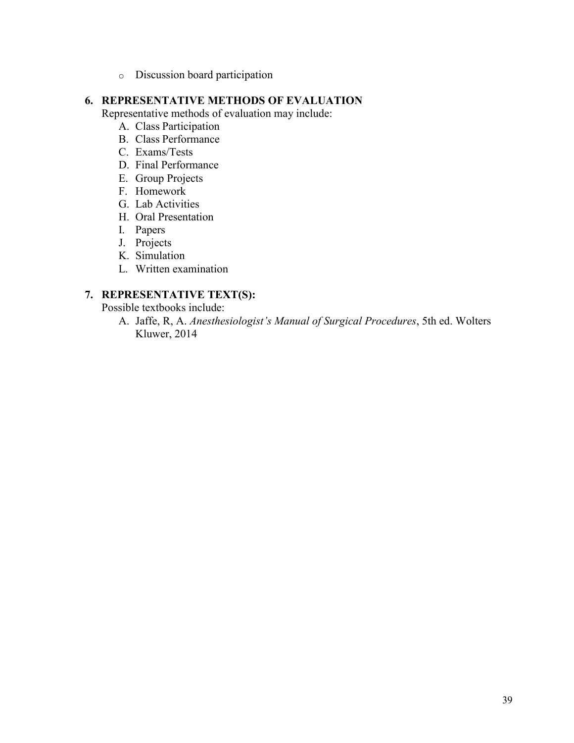o Discussion board participation

# **6. REPRESENTATIVE METHODS OF EVALUATION**

Representative methods of evaluation may include:

- A. Class Participation
- B. Class Performance
- C. Exams/Tests
- D. Final Performance
- E. Group Projects
- F. Homework
- G. Lab Activities
- H. Oral Presentation
- I. Papers
- J. Projects
- K. Simulation
- L. Written examination

# **7. REPRESENTATIVE TEXT(S):**

Possible textbooks include:

A. Jaffe, R, A. *Anesthesiologist's Manual of Surgical Procedures*, 5th ed. Wolters Kluwer, 2014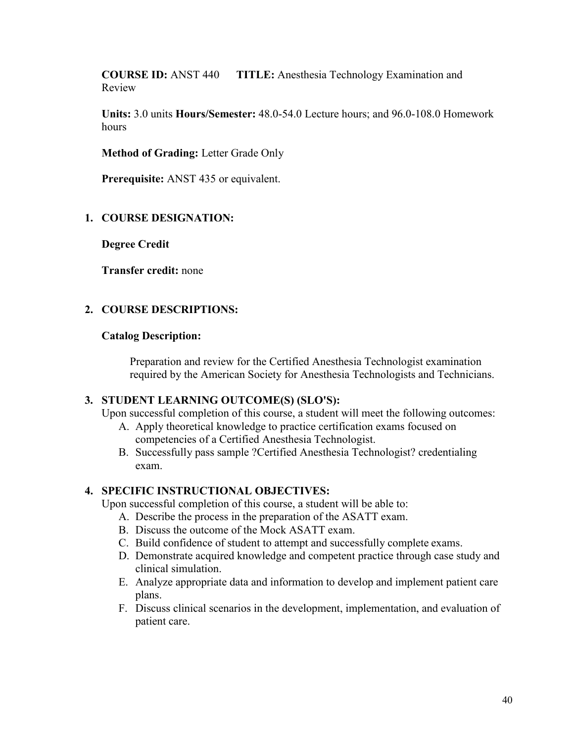**COURSE ID:** ANST 440 **TITLE:** Anesthesia Technology Examination and Review

**Units:** 3.0 units **Hours/Semester:** 48.0-54.0 Lecture hours; and 96.0-108.0 Homework hours

**Method of Grading:** Letter Grade Only

**Prerequisite:** ANST 435 or equivalent.

## **1. COURSE DESIGNATION:**

**Degree Credit**

**Transfer credit:** none

## **2. COURSE DESCRIPTIONS:**

#### **Catalog Description:**

Preparation and review for the Certified Anesthesia Technologist examination required by the American Society for Anesthesia Technologists and Technicians.

## **3. STUDENT LEARNING OUTCOME(S) (SLO'S):**

Upon successful completion of this course, a student will meet the following outcomes:

- A. Apply theoretical knowledge to practice certification exams focused on competencies of a Certified Anesthesia Technologist.
- B. Successfully pass sample ?Certified Anesthesia Technologist? credentialing exam.

## **4. SPECIFIC INSTRUCTIONAL OBJECTIVES:**

Upon successful completion of this course, a student will be able to:

- A. Describe the process in the preparation of the ASATT exam.
- B. Discuss the outcome of the Mock ASATT exam.
- C. Build confidence of student to attempt and successfully complete exams.
- D. Demonstrate acquired knowledge and competent practice through case study and clinical simulation.
- E. Analyze appropriate data and information to develop and implement patient care plans.
- F. Discuss clinical scenarios in the development, implementation, and evaluation of patient care.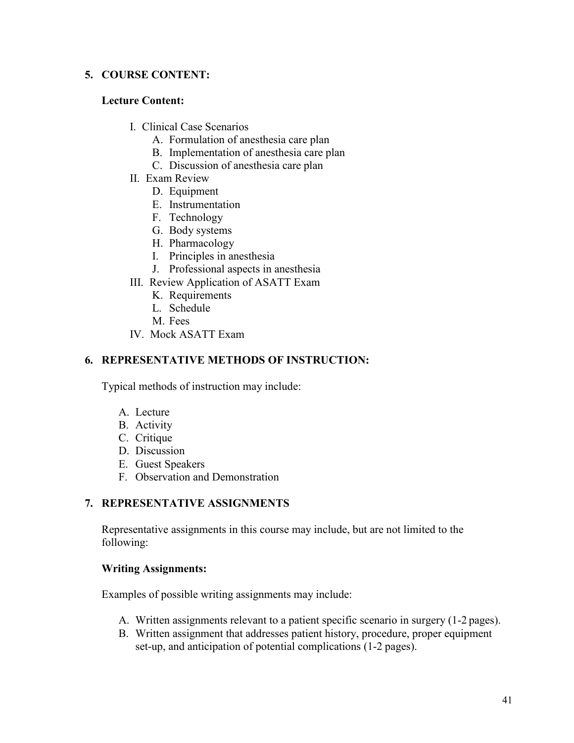# **5. COURSE CONTENT:**

# **Lecture Content:**

- I. Clinical Case Scenarios
	- A. Formulation of anesthesia care plan
	- B. Implementation of anesthesia care plan
	- C. Discussion of anesthesia care plan
- II. Exam Review
	- D. Equipment
	- E. Instrumentation
	- F. Technology
	- G. Body systems
	- H. Pharmacology
	- I. Principles in anesthesia
	- J. Professional aspects in anesthesia
- III. Review Application of ASATT Exam
	- K. Requirements
	- L. Schedule
	- M. Fees
- IV. Mock ASATT Exam

# **6. REPRESENTATIVE METHODS OF INSTRUCTION:**

Typical methods of instruction may include:

- A. Lecture
- B. Activity
- C. Critique
- D. Discussion
- E. Guest Speakers
- F. Observation and Demonstration

# **7. REPRESENTATIVE ASSIGNMENTS**

Representative assignments in this course may include, but are not limited to the following:

# **Writing Assignments:**

Examples of possible writing assignments may include:

- A. Written assignments relevant to a patient specific scenario in surgery (1-2 pages).
- B. Written assignment that addresses patient history, procedure, proper equipment set-up, and anticipation of potential complications (1-2 pages).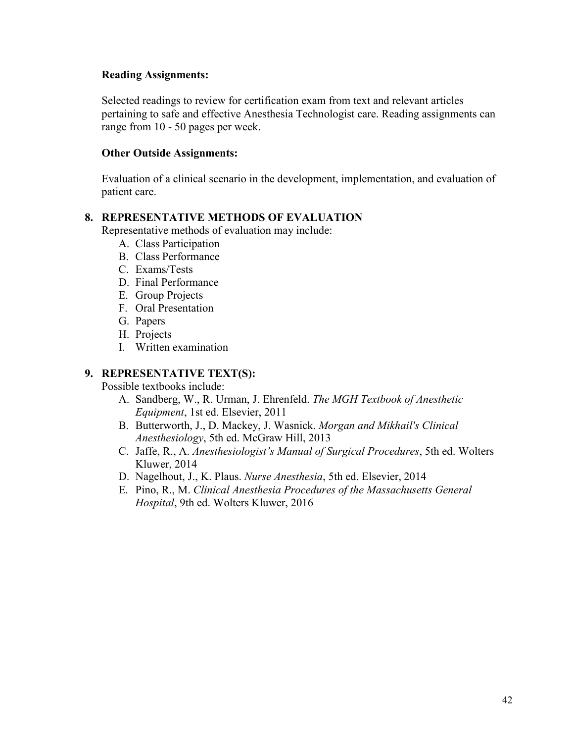## **Reading Assignments:**

Selected readings to review for certification exam from text and relevant articles pertaining to safe and effective Anesthesia Technologist care. Reading assignments can range from 10 - 50 pages per week.

# **Other Outside Assignments:**

Evaluation of a clinical scenario in the development, implementation, and evaluation of patient care.

# **8. REPRESENTATIVE METHODS OF EVALUATION**

Representative methods of evaluation may include:

- A. Class Participation
- B. Class Performance
- C. Exams/Tests
- D. Final Performance
- E. Group Projects
- F. Oral Presentation
- G. Papers
- H. Projects
- I. Written examination

# **9. REPRESENTATIVE TEXT(S):**

Possible textbooks include:

- A. Sandberg, W., R. Urman, J. Ehrenfeld. *The MGH Textbook of Anesthetic Equipment*, 1st ed. Elsevier, 2011
- B. Butterworth, J., D. Mackey, J. Wasnick. *Morgan and Mikhail's Clinical Anesthesiology*, 5th ed. McGraw Hill, 2013
- C. Jaffe, R., A. *Anesthesiologist's Manual of Surgical Procedures*, 5th ed. Wolters Kluwer, 2014
- D. Nagelhout, J., K. Plaus. *Nurse Anesthesia*, 5th ed. Elsevier, 2014
- E. Pino, R., M. *Clinical Anesthesia Procedures of the Massachusetts General Hospital*, 9th ed. Wolters Kluwer, 2016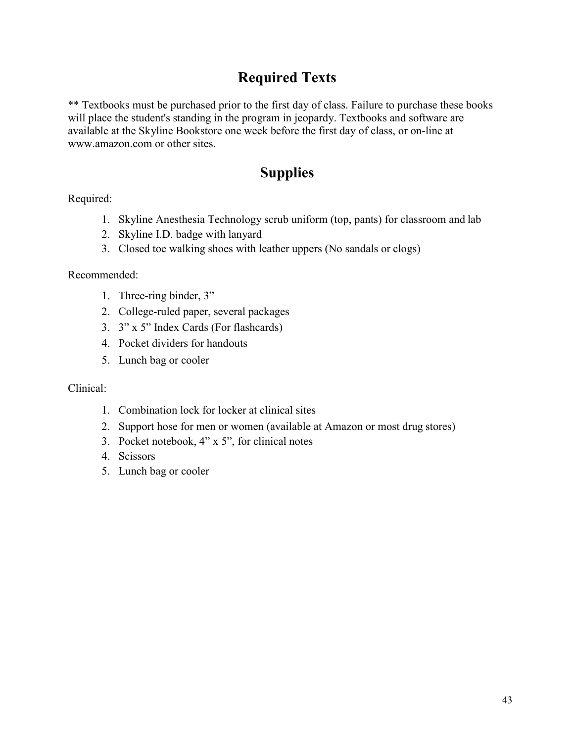# **Required Texts**

\*\* Textbooks must be purchased prior to the first day of class. Failure to purchase these books will place the student's standing in the program in jeopardy. Textbooks and software are available at the Skyline Bookstore one week before the first day of class, or on-line a[t](http://www.amazon.com/) [www.amazon.com o](http://www.amazon.com/)r other sites.

# **Supplies**

Required:

- 1. Skyline Anesthesia Technology scrub uniform (top, pants) for classroom and lab
- 2. Skyline I.D. badge with lanyard
- 3. Closed toe walking shoes with leather uppers (No sandals or clogs)

Recommended:

- 1. Three-ring binder, 3"
- 2. College-ruled paper, several packages
- 3. 3" x 5" Index Cards (For flashcards)
- 4. Pocket dividers for handouts
- 5. Lunch bag or cooler

Clinical:

- 1. Combination lock for locker at clinical sites
- 2. Support hose for men or women (available at Amazon or most drug stores)
- 3. Pocket notebook, 4" x 5", for clinical notes
- 4. Scissors
- 5. Lunch bag or cooler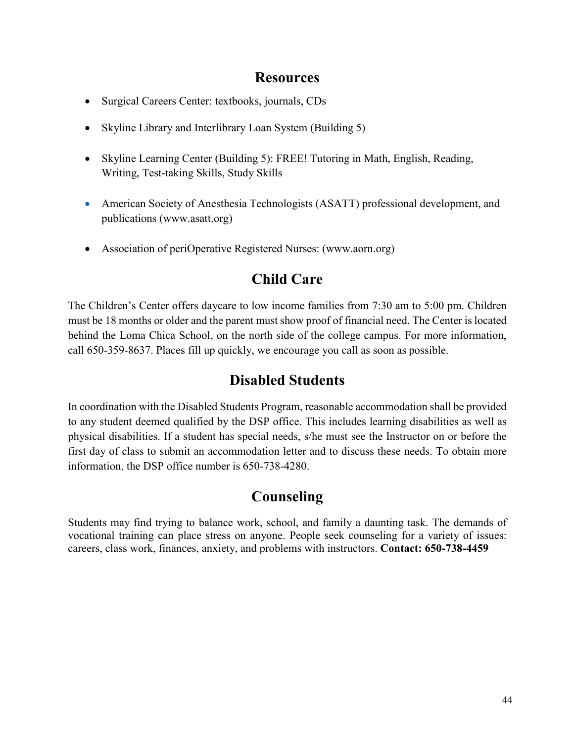# **Resources**

- <span id="page-43-0"></span>• Surgical Careers Center: textbooks, journals, CDs
- Skyline Library and Interlibrary Loan System (Building 5)
- Skyline Learning Center (Building 5): FREE! Tutoring in Math, English, Reading, Writing, Test-taking Skills, Study Skills
- American Society of Anesthesia Technologists (ASATT) professional development, and publications (www.asatt.org)
- Association of periOperative Registered Nurses: (www.aorn.org)

# **Child Care**

The Children's Center offers daycare to low income families from 7:30 am to 5:00 pm. Children must be 18 months or older and the parent must show proof of financial need. The Center is located behind the Loma Chica School, on the north side of the college campus. For more information, call 650-359-8637. Places fill up quickly, we encourage you call as soon as possible.

# **Disabled Students**

In coordination with the Disabled Students Program, reasonable accommodation shall be provided to any student deemed qualified by the DSP office. This includes learning disabilities as well as physical disabilities. If a student has special needs, s/he must see the Instructor on or before the first day of class to submit an accommodation letter and to discuss these needs. To obtain more information, the DSP office number is 650-738-4280.

# **Counseling**

Students may find trying to balance work, school, and family a daunting task. The demands of vocational training can place stress on anyone. People seek counseling for a variety of issues: careers, class work, finances, anxiety, and problems with instructors. **Contact: 650-738-4459**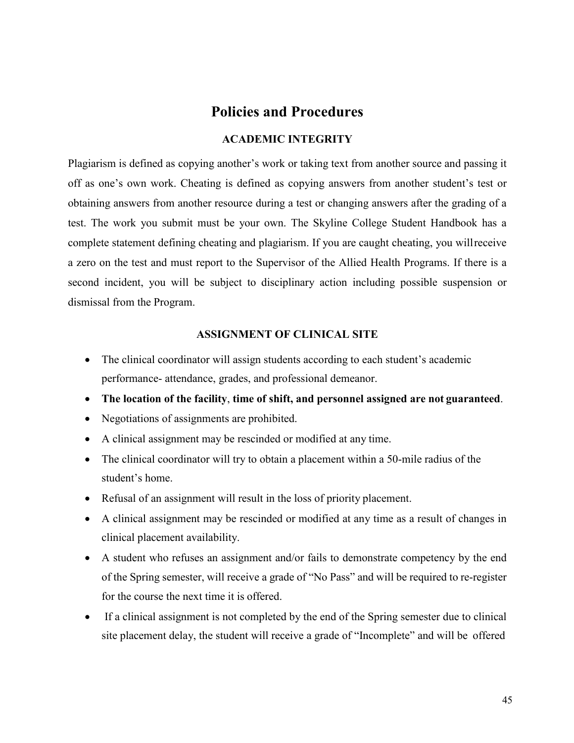# **Policies and Procedures**

## **ACADEMIC INTEGRITY**

<span id="page-44-0"></span>Plagiarism is defined as copying another's work or taking text from another source and passing it off as one's own work. Cheating is defined as copying answers from another student's test or obtaining answers from another resource during a test or changing answers after the grading of a test. The work you submit must be your own. The Skyline College Student Handbook has a complete statement defining cheating and plagiarism. If you are caught cheating, you willreceive a zero on the test and must report to the Supervisor of the Allied Health Programs. If there is a second incident, you will be subject to disciplinary action including possible suspension or dismissal from the Program.

#### **ASSIGNMENT OF CLINICAL SITE**

- The clinical coordinator will assign students according to each student's academic performance- attendance, grades, and professional demeanor.
- **The location of the facility**, **time of shift, and personnel assigned are not guaranteed**.
- Negotiations of assignments are prohibited.
- A clinical assignment may be rescinded or modified at any time.
- The clinical coordinator will try to obtain a placement within a 50-mile radius of the student's home.
- Refusal of an assignment will result in the loss of priority placement.
- A clinical assignment may be rescinded or modified at any time as a result of changes in clinical placement availability.
- A student who refuses an assignment and/or fails to demonstrate competency by the end of the Spring semester, will receive a grade of "No Pass" and will be required to re-register for the course the next time it is offered.
- If a clinical assignment is not completed by the end of the Spring semester due to clinical site placement delay, the student will receive a grade of "Incomplete" and will be offered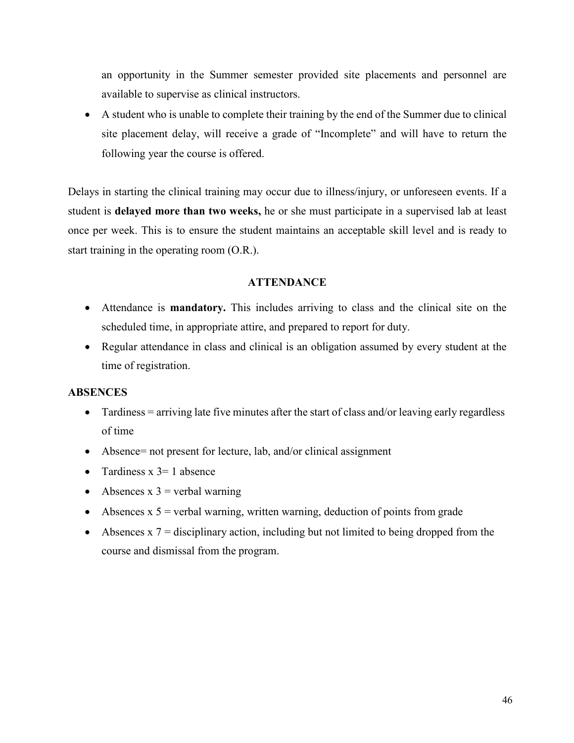an opportunity in the Summer semester provided site placements and personnel are available to supervise as clinical instructors.

• A student who is unable to complete their training by the end of the Summer due to clinical site placement delay, will receive a grade of "Incomplete" and will have to return the following year the course is offered.

Delays in starting the clinical training may occur due to illness/injury, or unforeseen events. If a student is **delayed more than two weeks,** he or she must participate in a supervised lab at least once per week. This is to ensure the student maintains an acceptable skill level and is ready to start training in the operating room (O.R.).

#### **ATTENDANCE**

- Attendance is **mandatory.** This includes arriving to class and the clinical site on the scheduled time, in appropriate attire, and prepared to report for duty.
- Regular attendance in class and clinical is an obligation assumed by every student at the time of registration.

## **ABSENCES**

- Tardiness = arriving late five minutes after the start of class and/or leaving early regardless of time
- Absence= not present for lecture, lab, and/or clinical assignment
- Tardiness  $x = 1$  absence
- Absences  $x \bar{3}$  = verbal warning
- Absences  $x$  5 = verbal warning, written warning, deduction of points from grade
- Absences  $x \overline{7}$  = disciplinary action, including but not limited to being dropped from the course and dismissal from the program.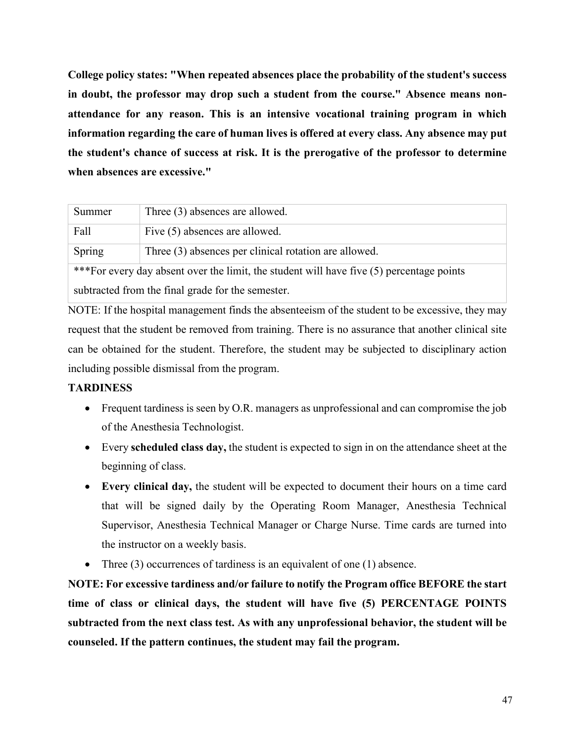**College policy states: "When repeated absences place the probability of the student's success in doubt, the professor may drop such a student from the course." Absence means nonattendance for any reason. This is an intensive vocational training program in which information regarding the care of human lives is offered at every class. Any absence may put the student's chance of success at risk. It is the prerogative of the professor to determine when absences are excessive."**

| Summer                                            | Three (3) absences are allowed.                                                           |  |
|---------------------------------------------------|-------------------------------------------------------------------------------------------|--|
|                                                   |                                                                                           |  |
| Fall                                              | Five (5) absences are allowed.                                                            |  |
|                                                   |                                                                                           |  |
| Spring                                            | Three (3) absences per clinical rotation are allowed.                                     |  |
|                                                   |                                                                                           |  |
|                                                   | *** For every day absent over the limit, the student will have five (5) percentage points |  |
|                                                   |                                                                                           |  |
| subtracted from the final grade for the semester. |                                                                                           |  |
|                                                   |                                                                                           |  |

NOTE: If the hospital management finds the absenteeism of the student to be excessive, they may request that the student be removed from training. There is no assurance that another clinical site can be obtained for the student. Therefore, the student may be subjected to disciplinary action including possible dismissal from the program.

# **TARDINESS**

- Frequent tardiness is seen by O.R. managers as unprofessional and can compromise the job of the Anesthesia Technologist.
- Every **scheduled class day,** the student is expected to sign in on the attendance sheet at the beginning of class.
- **Every clinical day,** the student will be expected to document their hours on a time card that will be signed daily by the Operating Room Manager, Anesthesia Technical Supervisor, Anesthesia Technical Manager or Charge Nurse. Time cards are turned into the instructor on a weekly basis.
- Three (3) occurrences of tardiness is an equivalent of one (1) absence.

**NOTE: For excessive tardiness and/or failure to notify the Program office BEFORE the start time of class or clinical days, the student will have five (5) PERCENTAGE POINTS subtracted from the next class test. As with any unprofessional behavior, the student will be counseled. If the pattern continues, the student may fail the program.**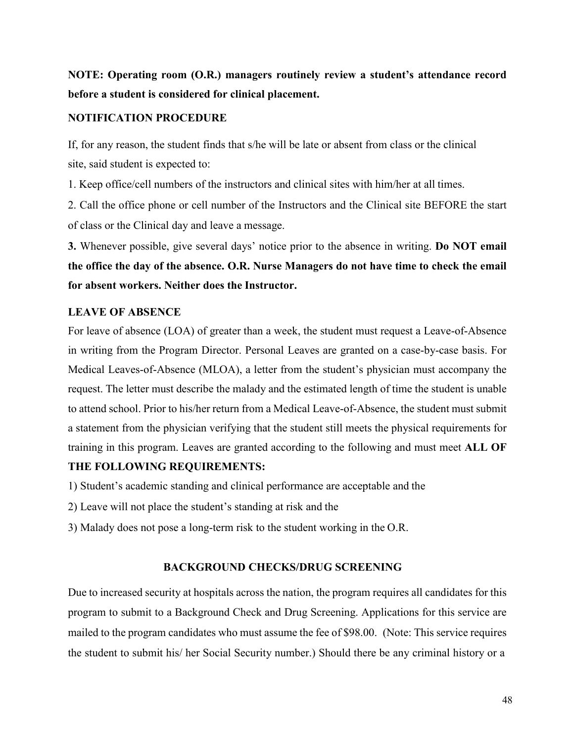# **NOTE: Operating room (O.R.) managers routinely review a student's attendance record before a student is considered for clinical placement.**

## **NOTIFICATION PROCEDURE**

If, for any reason, the student finds that s/he will be late or absent from class or the clinical site, said student is expected to:

1. Keep office/cell numbers of the instructors and clinical sites with him/her at all times.

2. Call the office phone or cell number of the Instructors and the Clinical site BEFORE the start of class or the Clinical day and leave a message.

**3.** Whenever possible, give several days' notice prior to the absence in writing. **Do NOT email the office the day of the absence. O.R. Nurse Managers do not have time to check the email for absent workers. Neither does the Instructor.**

# **LEAVE OF ABSENCE**

For leave of absence (LOA) of greater than a week, the student must request a Leave-of-Absence in writing from the Program Director. Personal Leaves are granted on a case-by-case basis. For Medical Leaves-of-Absence (MLOA), a letter from the student's physician must accompany the request. The letter must describe the malady and the estimated length of time the student is unable to attend school. Prior to his/her return from a Medical Leave-of-Absence, the student must submit a statement from the physician verifying that the student still meets the physical requirements for training in this program. Leaves are granted according to the following and must meet **ALL OF** 

## **THE FOLLOWING REQUIREMENTS:**

1) Student's academic standing and clinical performance are acceptable and the

- 2) Leave will not place the student's standing at risk and the
- 3) Malady does not pose a long-term risk to the student working in the O.R.

## **BACKGROUND CHECKS/DRUG SCREENING**

Due to increased security at hospitals across the nation, the program requires all candidates for this program to submit to a Background Check and Drug Screening. Applications for this service are mailed to the program candidates who must assume the fee of \$98.00. (Note: This service requires the student to submit his/ her Social Security number.) Should there be any criminal history or a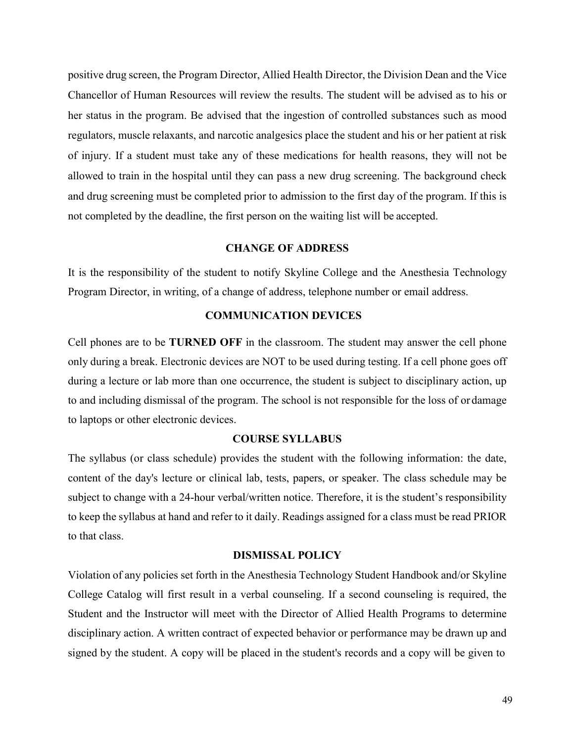positive drug screen, the Program Director, Allied Health Director, the Division Dean and the Vice Chancellor of Human Resources will review the results. The student will be advised as to his or her status in the program. Be advised that the ingestion of controlled substances such as mood regulators, muscle relaxants, and narcotic analgesics place the student and his or her patient at risk of injury. If a student must take any of these medications for health reasons, they will not be allowed to train in the hospital until they can pass a new drug screening. The background check and drug screening must be completed prior to admission to the first day of the program. If this is not completed by the deadline, the first person on the waiting list will be accepted.

## **CHANGE OF ADDRESS**

It is the responsibility of the student to notify Skyline College and the Anesthesia Technology Program Director, in writing, of a change of address, telephone number or email address.

#### **COMMUNICATION DEVICES**

Cell phones are to be **TURNED OFF** in the classroom. The student may answer the cell phone only during a break. Electronic devices are NOT to be used during testing. If a cell phone goes off during a lecture or lab more than one occurrence, the student is subject to disciplinary action, up to and including dismissal of the program. The school is not responsible for the loss of or damage to laptops or other electronic devices.

#### **COURSE SYLLABUS**

The syllabus (or class schedule) provides the student with the following information: the date, content of the day's lecture or clinical lab, tests, papers, or speaker. The class schedule may be subject to change with a 24-hour verbal/written notice. Therefore, it is the student's responsibility to keep the syllabus at hand and refer to it daily. Readings assigned for a class must be read PRIOR to that class.

#### **DISMISSAL POLICY**

Violation of any policies set forth in the Anesthesia Technology Student Handbook and/or Skyline College Catalog will first result in a verbal counseling. If a second counseling is required, the Student and the Instructor will meet with the Director of Allied Health Programs to determine disciplinary action. A written contract of expected behavior or performance may be drawn up and signed by the student. A copy will be placed in the student's records and a copy will be given to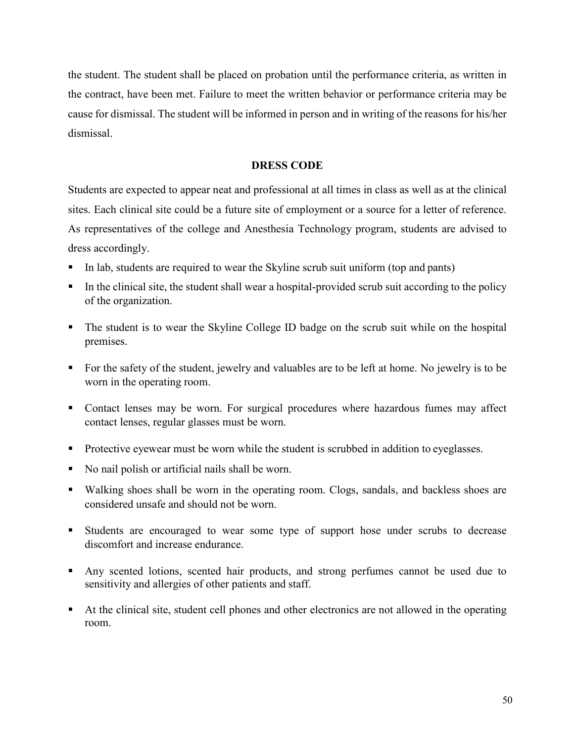the student. The student shall be placed on probation until the performance criteria, as written in the contract, have been met. Failure to meet the written behavior or performance criteria may be cause for dismissal. The student will be informed in person and in writing of the reasons for his/her dismissal.

## **DRESS CODE**

Students are expected to appear neat and professional at all times in class as well as at the clinical sites. Each clinical site could be a future site of employment or a source for a letter of reference. As representatives of the college and Anesthesia Technology program, students are advised to dress accordingly.

- In lab, students are required to wear the Skyline scrub suit uniform (top and pants)
- In the clinical site, the student shall wear a hospital-provided scrub suit according to the policy of the organization.
- The student is to wear the Skyline College ID badge on the scrub suit while on the hospital premises.
- For the safety of the student, jewelry and valuables are to be left at home. No jewelry is to be worn in the operating room.
- Contact lenses may be worn. For surgical procedures where hazardous fumes may affect contact lenses, regular glasses must be worn.
- **Protective eyewear must be worn while the student is scrubbed in addition to eyeglasses.**
- No nail polish or artificial nails shall be worn.
- Walking shoes shall be worn in the operating room. Clogs, sandals, and backless shoes are considered unsafe and should not be worn.
- Students are encouraged to wear some type of support hose under scrubs to decrease discomfort and increase endurance.
- Any scented lotions, scented hair products, and strong perfumes cannot be used due to sensitivity and allergies of other patients and staff.
- At the clinical site, student cell phones and other electronics are not allowed in the operating room.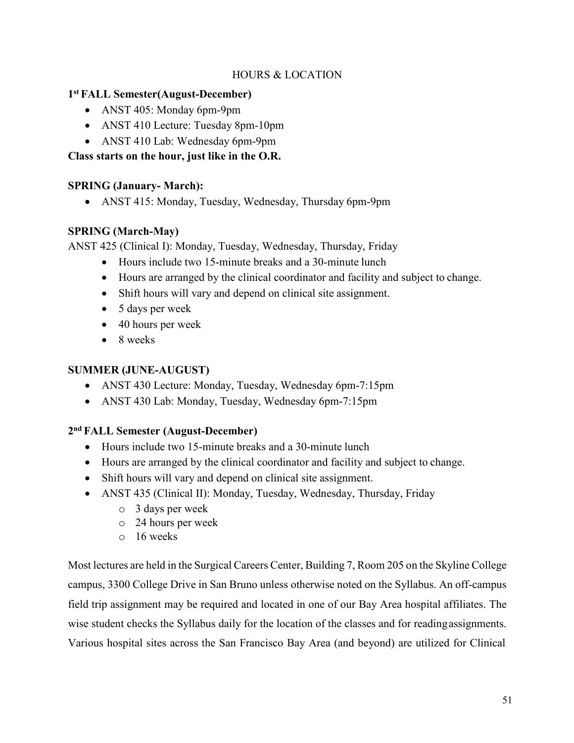# HOURS & LOCATION

# **1st FALL Semester(August-December)**

- ANST 405: Monday 6pm-9pm
- ANST 410 Lecture: Tuesday 8pm-10pm
- ANST 410 Lab: Wednesday 6pm-9pm

# **Class starts on the hour, just like in the O.R.**

# **SPRING (January- March):**

• ANST 415: Monday, Tuesday, Wednesday, Thursday 6pm-9pm

# **SPRING (March-May)**

ANST 425 (Clinical I): Monday, Tuesday, Wednesday, Thursday, Friday

- Hours include two 15-minute breaks and a 30-minute lunch
- Hours are arranged by the clinical coordinator and facility and subject to change.
- Shift hours will vary and depend on clinical site assignment.
- 5 days per week
- 40 hours per week
- 8 weeks

# **SUMMER (JUNE-AUGUST)**

- ANST 430 Lecture: Monday, Tuesday, Wednesday 6pm-7:15pm
- ANST 430 Lab: Monday, Tuesday, Wednesday 6pm-7:15pm

# **2nd FALL Semester (August-December)**

- Hours include two 15-minute breaks and a 30-minute lunch
- Hours are arranged by the clinical coordinator and facility and subject to change.
- Shift hours will vary and depend on clinical site assignment.
- ANST 435 (Clinical II): Monday, Tuesday, Wednesday, Thursday, Friday
	- o 3 days per week
	- o 24 hours per week
	- o 16 weeks

Most lectures are held in the Surgical Careers Center, Building 7, Room 205 on the Skyline College campus, 3300 College Drive in San Bruno unless otherwise noted on the Syllabus. An off-campus field trip assignment may be required and located in one of our Bay Area hospital affiliates. The wise student checks the Syllabus daily for the location of the classes and for readingassignments. Various hospital sites across the San Francisco Bay Area (and beyond) are utilized for Clinical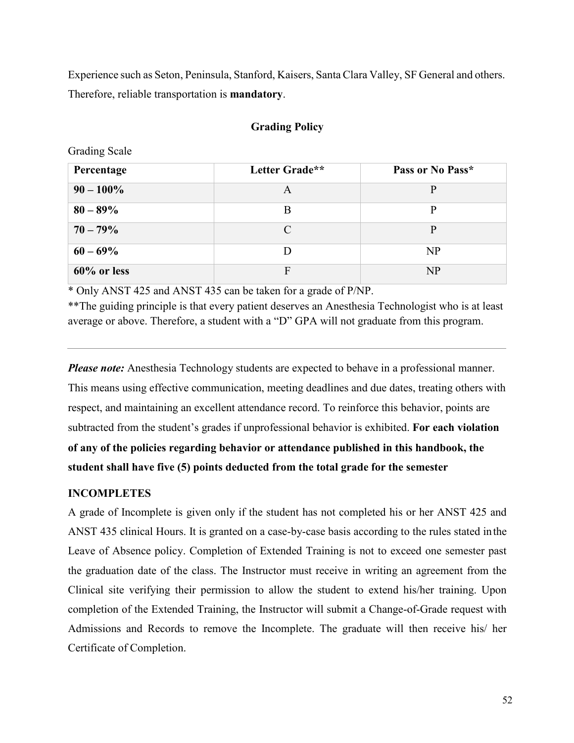Experience such as Seton, Peninsula, Stanford, Kaisers, Santa Clara Valley, SF General and others. Therefore, reliable transportation is **mandatory**.

#### **Grading Policy**

Grading Scale

| Percentage     | Letter Grade**              | Pass or No Pass* |
|----------------|-----------------------------|------------------|
| $90 - 100\%$   | A                           | p                |
| $80 - 89\%$    | B                           | D                |
| $70 - 79\%$    | $\mathcal{C}_{\mathcal{C}}$ | P                |
| $60 - 69\%$    |                             | NP               |
| $60\%$ or less | $\mathbf{E}$                | NP               |

\* Only ANST 425 and ANST 435 can be taken for a grade of P/NP.

\*\*The guiding principle is that every patient deserves an Anesthesia Technologist who is at least average or above. Therefore, a student with a "D" GPA will not graduate from this program.

*Please note:* Anesthesia Technology students are expected to behave in a professional manner. This means using effective communication, meeting deadlines and due dates, treating others with respect, and maintaining an excellent attendance record. To reinforce this behavior, points are subtracted from the student's grades if unprofessional behavior is exhibited. **For each violation of any of the policies regarding behavior or attendance published in this handbook, the student shall have five (5) points deducted from the total grade for the semester**

#### **INCOMPLETES**

A grade of Incomplete is given only if the student has not completed his or her ANST 425 and ANST 435 clinical Hours. It is granted on a case-by-case basis according to the rules stated inthe Leave of Absence policy. Completion of Extended Training is not to exceed one semester past the graduation date of the class. The Instructor must receive in writing an agreement from the Clinical site verifying their permission to allow the student to extend his/her training. Upon completion of the Extended Training, the Instructor will submit a Change-of-Grade request with Admissions and Records to remove the Incomplete. The graduate will then receive his/ her Certificate of Completion.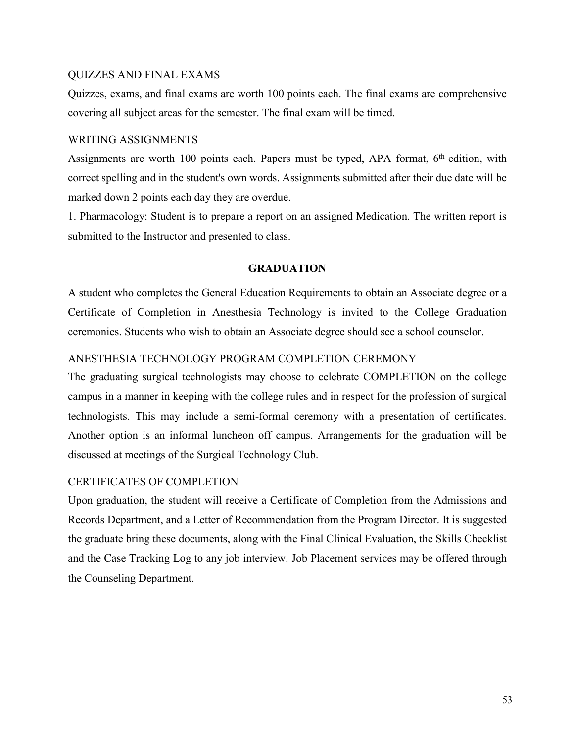#### QUIZZES AND FINAL EXAMS

Quizzes, exams, and final exams are worth 100 points each. The final exams are comprehensive covering all subject areas for the semester. The final exam will be timed.

#### WRITING ASSIGNMENTS

Assignments are worth 100 points each. Papers must be typed, APA format, 6<sup>th</sup> edition, with correct spelling and in the student's own words. Assignments submitted after their due date will be marked down 2 points each day they are overdue.

1. Pharmacology: Student is to prepare a report on an assigned Medication. The written report is submitted to the Instructor and presented to class.

## **GRADUATION**

A student who completes the General Education Requirements to obtain an Associate degree or a Certificate of Completion in Anesthesia Technology is invited to the College Graduation ceremonies. Students who wish to obtain an Associate degree should see a school counselor.

# ANESTHESIA TECHNOLOGY PROGRAM COMPLETION CEREMONY

The graduating surgical technologists may choose to celebrate COMPLETION on the college campus in a manner in keeping with the college rules and in respect for the profession of surgical technologists. This may include a semi-formal ceremony with a presentation of certificates. Another option is an informal luncheon off campus. Arrangements for the graduation will be discussed at meetings of the Surgical Technology Club.

## CERTIFICATES OF COMPLETION

Upon graduation, the student will receive a Certificate of Completion from the Admissions and Records Department, and a Letter of Recommendation from the Program Director. It is suggested the graduate bring these documents, along with the Final Clinical Evaluation, the Skills Checklist and the Case Tracking Log to any job interview. Job Placement services may be offered through the Counseling Department.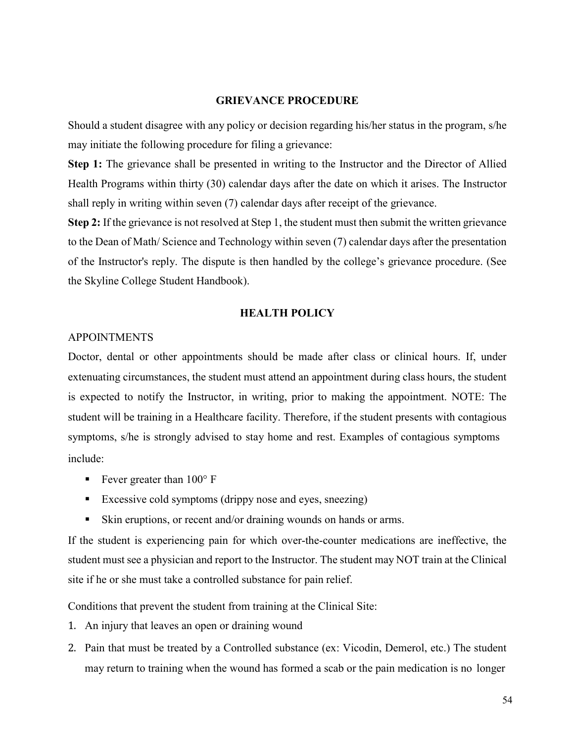#### **GRIEVANCE PROCEDURE**

Should a student disagree with any policy or decision regarding his/her status in the program, s/he may initiate the following procedure for filing a grievance:

**Step 1:** The grievance shall be presented in writing to the Instructor and the Director of Allied Health Programs within thirty (30) calendar days after the date on which it arises. The Instructor shall reply in writing within seven (7) calendar days after receipt of the grievance.

**Step 2:** If the grievance is not resolved at Step 1, the student must then submit the written grievance to the Dean of Math/ Science and Technology within seven (7) calendar days after the presentation of the Instructor's reply. The dispute is then handled by the college's grievance procedure. (See the Skyline College Student Handbook).

#### **HEALTH POLICY**

#### APPOINTMENTS

Doctor, dental or other appointments should be made after class or clinical hours. If, under extenuating circumstances, the student must attend an appointment during class hours, the student is expected to notify the Instructor, in writing, prior to making the appointment. NOTE: The student will be training in a Healthcare facility. Therefore, if the student presents with contagious symptoms, s/he is strongly advised to stay home and rest. Examples of contagious symptoms include:

- Fever greater than  $100^{\circ}$  F
- Excessive cold symptoms (drippy nose and eyes, sneezing)
- Skin eruptions, or recent and/or draining wounds on hands or arms.

If the student is experiencing pain for which over-the-counter medications are ineffective, the student must see a physician and report to the Instructor. The student may NOT train at the Clinical site if he or she must take a controlled substance for pain relief.

Conditions that prevent the student from training at the Clinical Site:

- 1. An injury that leaves an open or draining wound
- 2. Pain that must be treated by a Controlled substance (ex: Vicodin, Demerol, etc.) The student may return to training when the wound has formed a scab or the pain medication is no longer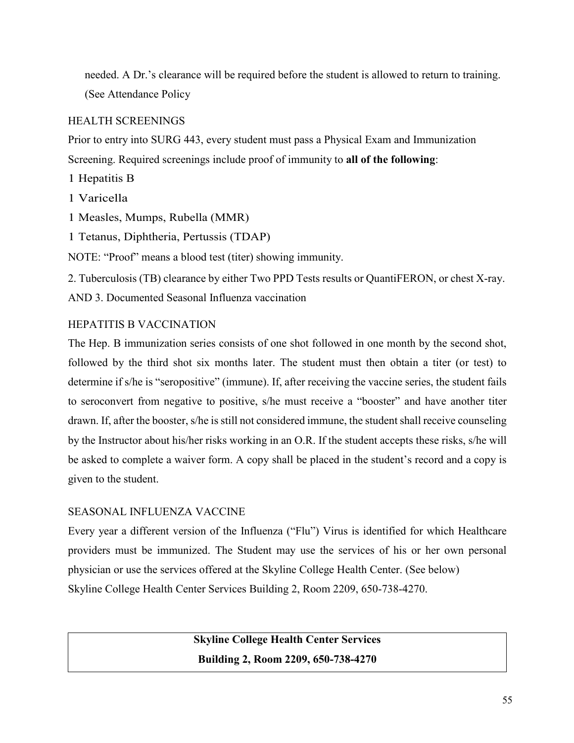needed. A Dr.'s clearance will be required before the student is allowed to return to training. (See Attendance Policy

# HEALTH SCREENINGS

Prior to entry into SURG 443, every student must pass a Physical Exam and Immunization Screening. Required screenings include proof of immunity to **all of the following**:

1 Hepatitis B

- 1 Varicella
- 1 Measles, Mumps, Rubella (MMR)

1 Tetanus, Diphtheria, Pertussis (TDAP)

NOTE: "Proof" means a blood test (titer) showing immunity.

2. Tuberculosis (TB) clearance by either Two PPD Tests results or QuantiFERON, or chest X-ray.

AND 3. Documented Seasonal Influenza vaccination

# HEPATITIS B VACCINATION

The Hep. B immunization series consists of one shot followed in one month by the second shot, followed by the third shot six months later. The student must then obtain a titer (or test) to determine if s/he is "seropositive" (immune). If, after receiving the vaccine series, the student fails to seroconvert from negative to positive, s/he must receive a "booster" and have another titer drawn. If, after the booster, s/he is still not considered immune, the student shall receive counseling by the Instructor about his/her risks working in an O.R. If the student accepts these risks, s/he will be asked to complete a waiver form. A copy shall be placed in the student's record and a copy is given to the student.

# SEASONAL INFLUENZA VACCINE

Every year a different version of the Influenza ("Flu") Virus is identified for which Healthcare providers must be immunized. The Student may use the services of his or her own personal physician or use the services offered at the Skyline College Health Center. (See below) Skyline College Health Center Services Building 2, Room 2209, 650-738-4270.

> **Skyline College Health Center Services Building 2, Room 2209, 650-738-4270**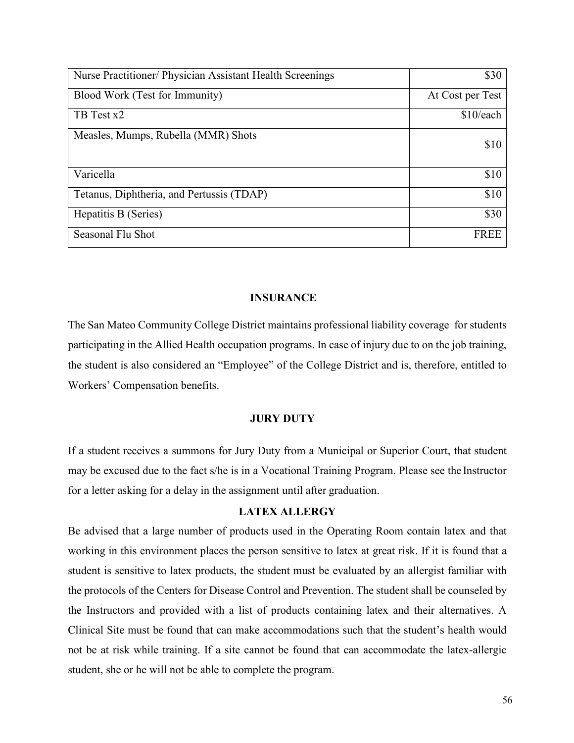| Nurse Practitioner/ Physician Assistant Health Screenings | \$30             |
|-----------------------------------------------------------|------------------|
| Blood Work (Test for Immunity)                            | At Cost per Test |
| TB Test x2                                                | \$10/each        |
| Measles, Mumps, Rubella (MMR) Shots                       | \$10             |
| Varicella                                                 | \$10             |
| Tetanus, Diphtheria, and Pertussis (TDAP)                 | \$10             |
| Hepatitis B (Series)                                      | \$30             |
| Seasonal Flu Shot                                         | <b>FREE</b>      |

## **INSURANCE**

The San Mateo Community College District maintains professional liability coverage for students participating in the Allied Health occupation programs. In case of injury due to on the job training, the student is also considered an "Employee" of the College District and is, therefore, entitled to Workers' Compensation benefits.

## **JURY DUTY**

If a student receives a summons for Jury Duty from a Municipal or Superior Court, that student may be excused due to the fact s/he is in a Vocational Training Program. Please see the Instructor for a letter asking for a delay in the assignment until after graduation.

## **LATEX ALLERGY**

Be advised that a large number of products used in the Operating Room contain latex and that working in this environment places the person sensitive to latex at great risk. If it is found that a student is sensitive to latex products, the student must be evaluated by an allergist familiar with the protocols of the Centers for Disease Control and Prevention. The student shall be counseled by the Instructors and provided with a list of products containing latex and their alternatives. A Clinical Site must be found that can make accommodations such that the student's health would not be at risk while training. If a site cannot be found that can accommodate the latex-allergic student, she or he will not be able to complete the program.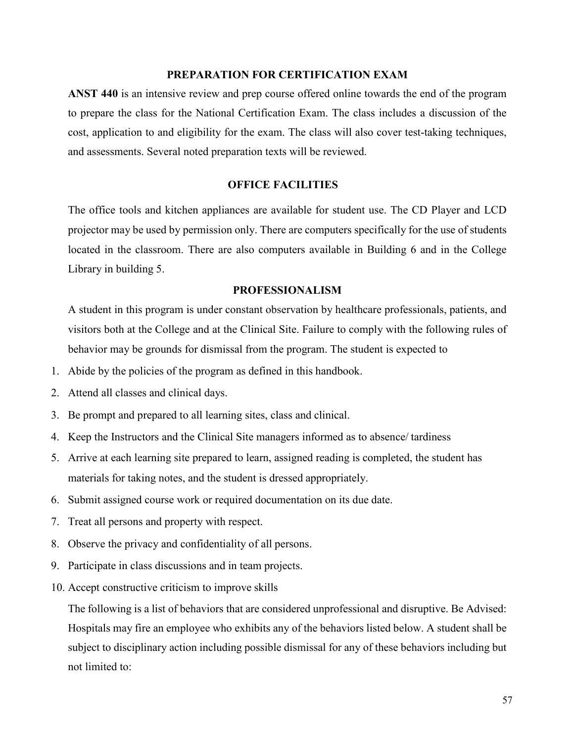#### **PREPARATION FOR CERTIFICATION EXAM**

**ANST 440** is an intensive review and prep course offered online towards the end of the program to prepare the class for the National Certification Exam. The class includes a discussion of the cost, application to and eligibility for the exam. The class will also cover test-taking techniques, and assessments. Several noted preparation texts will be reviewed.

#### **OFFICE FACILITIES**

The office tools and kitchen appliances are available for student use. The CD Player and LCD projector may be used by permission only. There are computers specifically for the use of students located in the classroom. There are also computers available in Building 6 and in the College Library in building 5.

#### **PROFESSIONALISM**

A student in this program is under constant observation by healthcare professionals, patients, and visitors both at the College and at the Clinical Site. Failure to comply with the following rules of behavior may be grounds for dismissal from the program. The student is expected to

- 1. Abide by the policies of the program as defined in this handbook.
- 2. Attend all classes and clinical days.
- 3. Be prompt and prepared to all learning sites, class and clinical.
- 4. Keep the Instructors and the Clinical Site managers informed as to absence/ tardiness
- 5. Arrive at each learning site prepared to learn, assigned reading is completed, the student has materials for taking notes, and the student is dressed appropriately.
- 6. Submit assigned course work or required documentation on its due date.
- 7. Treat all persons and property with respect.
- 8. Observe the privacy and confidentiality of all persons.
- 9. Participate in class discussions and in team projects.
- 10. Accept constructive criticism to improve skills

The following is a list of behaviors that are considered unprofessional and disruptive. Be Advised: Hospitals may fire an employee who exhibits any of the behaviors listed below. A student shall be subject to disciplinary action including possible dismissal for any of these behaviors including but not limited to: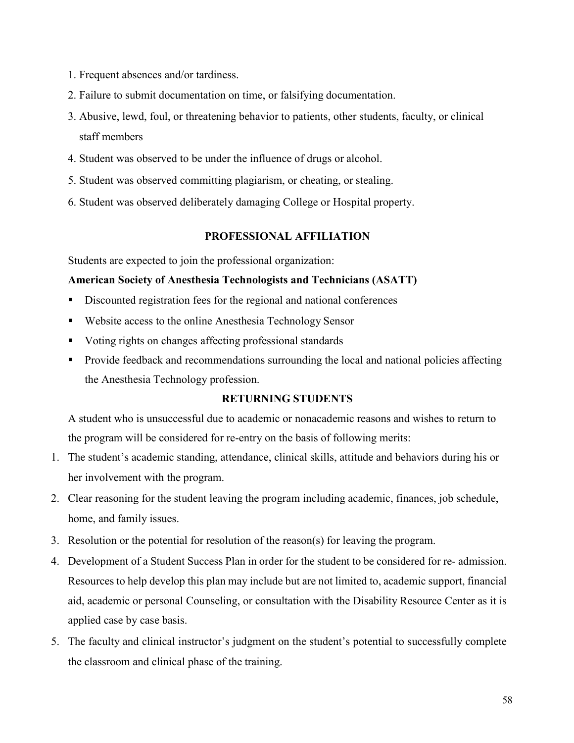- 1. Frequent absences and/or tardiness.
- 2. Failure to submit documentation on time, or falsifying documentation.
- 3. Abusive, lewd, foul, or threatening behavior to patients, other students, faculty, or clinical staff members
- 4. Student was observed to be under the influence of drugs or alcohol.
- 5. Student was observed committing plagiarism, or cheating, or stealing.
- 6. Student was observed deliberately damaging College or Hospital property.

## **PROFESSIONAL AFFILIATION**

Students are expected to join the professional organization:

# **American Society of Anesthesia Technologists and Technicians (ASATT)**

- Discounted registration fees for the regional and national conferences
- Website access to the online Anesthesia Technology Sensor
- Usting rights on changes affecting professional standards
- **Provide feedback and recommendations surrounding the local and national policies affecting** the Anesthesia Technology profession.

# **RETURNING STUDENTS**

A student who is unsuccessful due to academic or nonacademic reasons and wishes to return to the program will be considered for re-entry on the basis of following merits:

- 1. The student's academic standing, attendance, clinical skills, attitude and behaviors during his or her involvement with the program.
- 2. Clear reasoning for the student leaving the program including academic, finances, job schedule, home, and family issues.
- 3. Resolution or the potential for resolution of the reason(s) for leaving the program.
- 4. Development of a Student Success Plan in order for the student to be considered for re- admission. Resources to help develop this plan may include but are not limited to, academic support, financial aid, academic or personal Counseling, or consultation with the Disability Resource Center as it is applied case by case basis.
- 5. The faculty and clinical instructor's judgment on the student's potential to successfully complete the classroom and clinical phase of the training.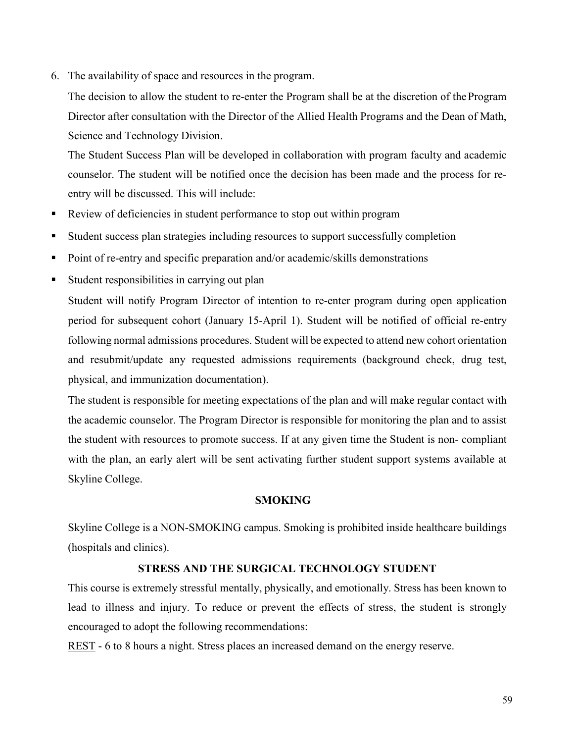6. The availability of space and resources in the program.

The decision to allow the student to re-enter the Program shall be at the discretion of theProgram Director after consultation with the Director of the Allied Health Programs and the Dean of Math, Science and Technology Division.

The Student Success Plan will be developed in collaboration with program faculty and academic counselor. The student will be notified once the decision has been made and the process for reentry will be discussed. This will include:

- Review of deficiencies in student performance to stop out within program
- Student success plan strategies including resources to support successfully completion
- Point of re-entry and specific preparation and/or academic/skills demonstrations
- Student responsibilities in carrying out plan

Student will notify Program Director of intention to re-enter program during open application period for subsequent cohort (January 15-April 1). Student will be notified of official re-entry following normal admissions procedures. Student will be expected to attend new cohort orientation and resubmit/update any requested admissions requirements (background check, drug test, physical, and immunization documentation).

The student is responsible for meeting expectations of the plan and will make regular contact with the academic counselor. The Program Director is responsible for monitoring the plan and to assist the student with resources to promote success. If at any given time the Student is non- compliant with the plan, an early alert will be sent activating further student support systems available at Skyline College.

#### **SMOKING**

Skyline College is a NON-SMOKING campus. Smoking is prohibited inside healthcare buildings (hospitals and clinics).

## **STRESS AND THE SURGICAL TECHNOLOGY STUDENT**

This course is extremely stressful mentally, physically, and emotionally. Stress has been known to lead to illness and injury. To reduce or prevent the effects of stress, the student is strongly encouraged to adopt the following recommendations:

REST - 6 to 8 hours a night. Stress places an increased demand on the energy reserve.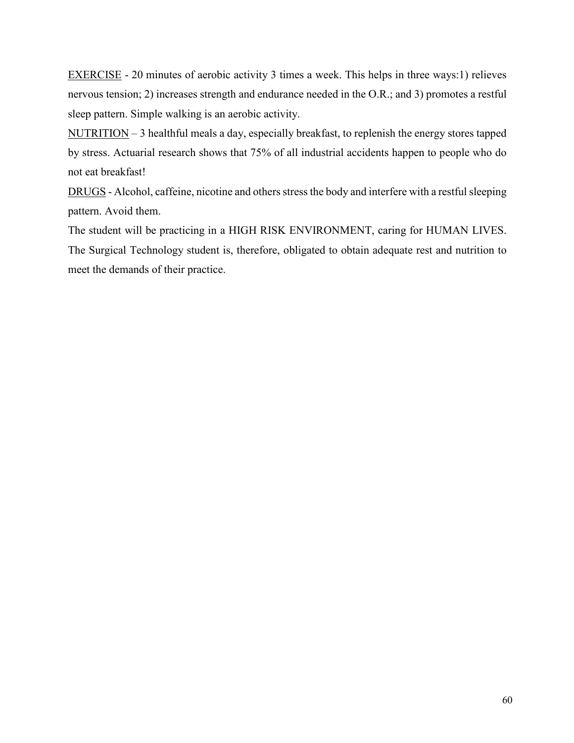EXERCISE - 20 minutes of aerobic activity 3 times a week. This helps in three ways:1) relieves nervous tension; 2) increases strength and endurance needed in the O.R.; and 3) promotes a restful sleep pattern. Simple walking is an aerobic activity.

NUTRITION – 3 healthful meals a day, especially breakfast, to replenish the energy stores tapped by stress. Actuarial research shows that 75% of all industrial accidents happen to people who do not eat breakfast!

DRUGS - Alcohol, caffeine, nicotine and others stress the body and interfere with a restful sleeping pattern. Avoid them.

The student will be practicing in a HIGH RISK ENVIRONMENT, caring for HUMAN LIVES. The Surgical Technology student is, therefore, obligated to obtain adequate rest and nutrition to meet the demands of their practice.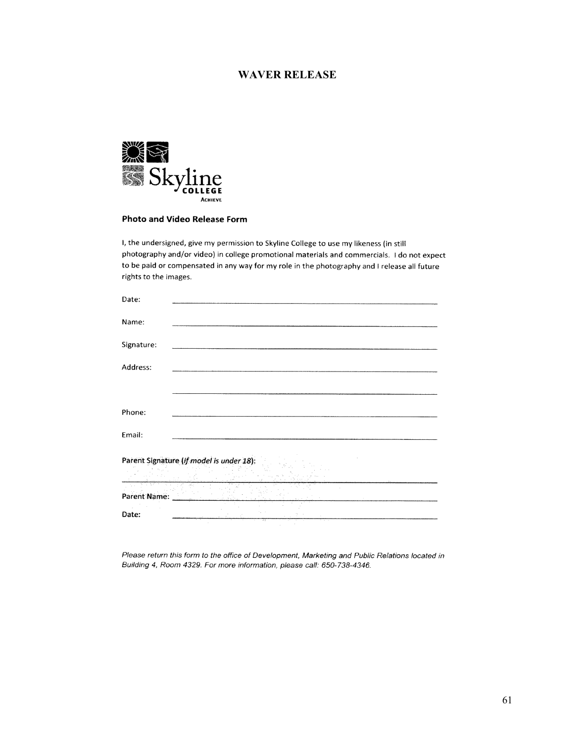#### **WAVER RELEASE**



#### **Photo and Video Release Form**

I, the undersigned, give my permission to Skyline College to use my likeness (in still photography and/or video) in college promotional materials and commercials. I do not expect to be paid or compensated in any way for my role in the photography and I release all future rights to the images.

| Parent Signature (if model is under 18): |  |
|------------------------------------------|--|
|                                          |  |
|                                          |  |
|                                          |  |

Please return this form to the office of Development, Marketing and Public Relations located in Building 4, Room 4329. For more information, please call: 650-738-4346.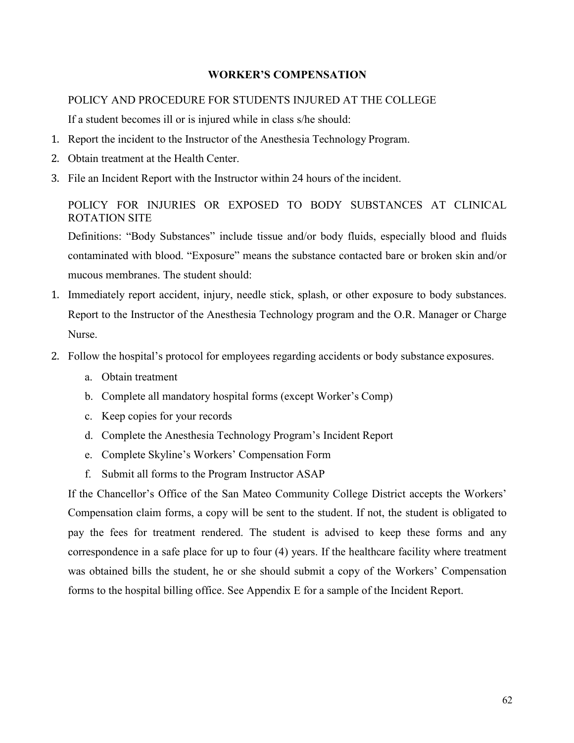## **WORKER'S COMPENSATION**

#### POLICY AND PROCEDURE FOR STUDENTS INJURED AT THE COLLEGE

If a student becomes ill or is injured while in class s/he should:

- 1. Report the incident to the Instructor of the Anesthesia Technology Program.
- 2. Obtain treatment at the Health Center.
- 3. File an Incident Report with the Instructor within 24 hours of the incident.

POLICY FOR INJURIES OR EXPOSED TO BODY SUBSTANCES AT CLINICAL ROTATION SITE

Definitions: "Body Substances" include tissue and/or body fluids, especially blood and fluids contaminated with blood. "Exposure" means the substance contacted bare or broken skin and/or mucous membranes. The student should:

- 1. Immediately report accident, injury, needle stick, splash, or other exposure to body substances. Report to the Instructor of the Anesthesia Technology program and the O.R. Manager or Charge Nurse.
- 2. Follow the hospital's protocol for employees regarding accidents or body substance exposures.
	- a. Obtain treatment
	- b. Complete all mandatory hospital forms (except Worker's Comp)
	- c. Keep copies for your records
	- d. Complete the Anesthesia Technology Program's Incident Report
	- e. Complete Skyline's Workers' Compensation Form
	- f. Submit all forms to the Program Instructor ASAP

If the Chancellor's Office of the San Mateo Community College District accepts the Workers' Compensation claim forms, a copy will be sent to the student. If not, the student is obligated to pay the fees for treatment rendered. The student is advised to keep these forms and any correspondence in a safe place for up to four (4) years. If the healthcare facility where treatment was obtained bills the student, he or she should submit a copy of the Workers' Compensation forms to the hospital billing office. See Appendix E for a sample of the Incident Report.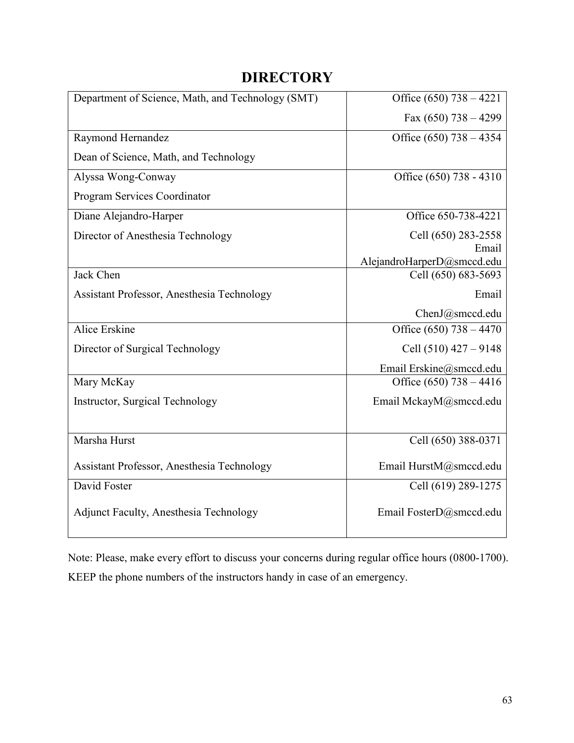# **DIRECTORY**

<span id="page-62-0"></span>

| Department of Science, Math, and Technology (SMT) | Office $(650)$ 738 – 4221  |
|---------------------------------------------------|----------------------------|
|                                                   | Fax $(650)$ 738 - 4299     |
| Raymond Hernandez                                 | Office $(650)$ 738 - 4354  |
| Dean of Science, Math, and Technology             |                            |
| Alyssa Wong-Conway                                | Office (650) 738 - 4310    |
| Program Services Coordinator                      |                            |
| Diane Alejandro-Harper                            | Office 650-738-4221        |
| Director of Anesthesia Technology                 | Cell (650) 283-2558        |
|                                                   | Email                      |
|                                                   | AlejandroHarperD@smccd.edu |
| Jack Chen                                         | Cell (650) 683-5693        |
| Assistant Professor, Anesthesia Technology        | Email                      |
|                                                   | ChenJ@smccd.edu            |
| Alice Erskine                                     | Office $(650)$ 738 - 4470  |
| Director of Surgical Technology                   | Cell $(510)$ 427 – 9148    |
|                                                   | Email Erskine@smccd.edu    |
| Mary McKay                                        | Office $(650)$ 738 – 4416  |
| Instructor, Surgical Technology                   | Email MckayM@smccd.edu     |
|                                                   |                            |
| Marsha Hurst                                      | Cell (650) 388-0371        |
| Assistant Professor, Anesthesia Technology        | Email HurstM@smccd.edu     |
| David Foster                                      | Cell (619) 289-1275        |
| <b>Adjunct Faculty, Anesthesia Technology</b>     | Email FosterD@smccd.edu    |

Note: Please, make every effort to discuss your concerns during regular office hours (0800-1700). KEEP the phone numbers of the instructors handy in case of an emergency.